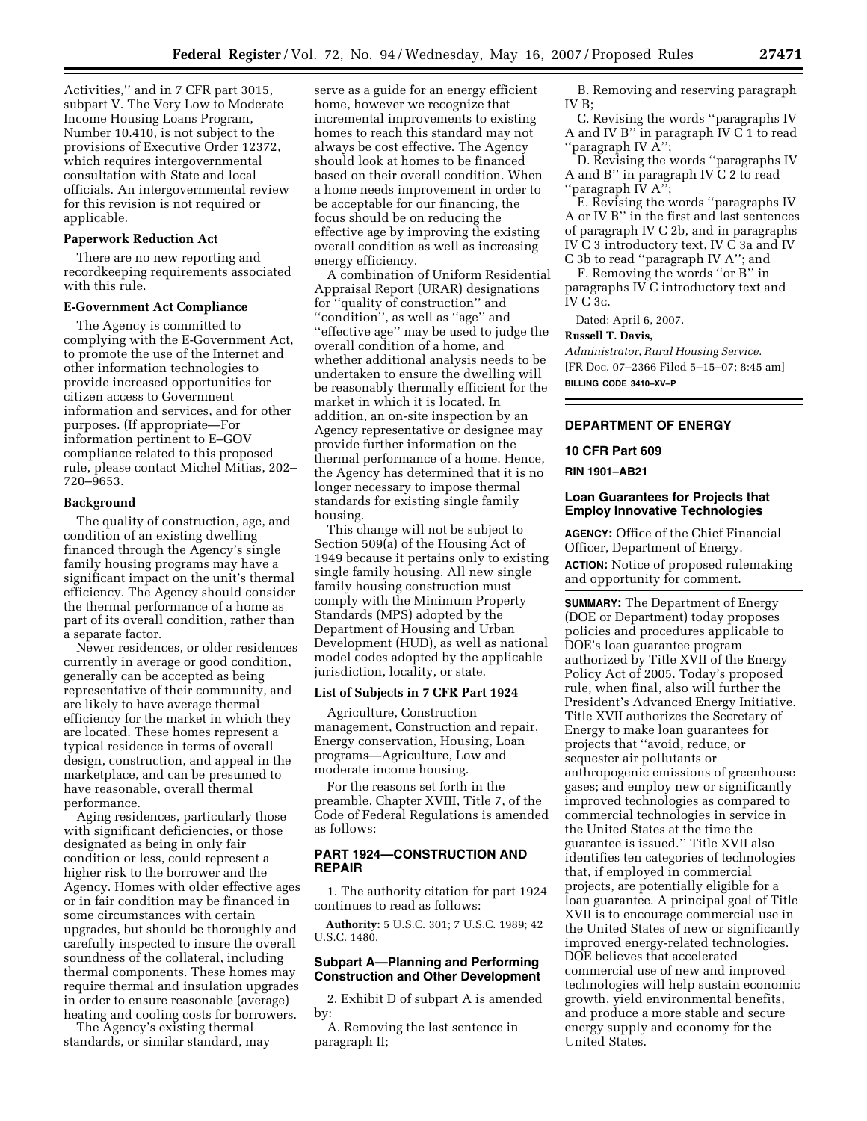Activities,'' and in 7 CFR part 3015, subpart V. The Very Low to Moderate Income Housing Loans Program, Number 10.410, is not subject to the provisions of Executive Order 12372, which requires intergovernmental consultation with State and local officials. An intergovernmental review for this revision is not required or applicable.

## **Paperwork Reduction Act**

There are no new reporting and recordkeeping requirements associated with this rule.

# **E-Government Act Compliance**

The Agency is committed to complying with the E-Government Act, to promote the use of the Internet and other information technologies to provide increased opportunities for citizen access to Government information and services, and for other purposes. (If appropriate—For information pertinent to E–GOV compliance related to this proposed rule, please contact Michel Mitias, 202– 720–9653.

## **Background**

The quality of construction, age, and condition of an existing dwelling financed through the Agency's single family housing programs may have a significant impact on the unit's thermal efficiency. The Agency should consider the thermal performance of a home as part of its overall condition, rather than a separate factor.

Newer residences, or older residences currently in average or good condition, generally can be accepted as being representative of their community, and are likely to have average thermal efficiency for the market in which they are located. These homes represent a typical residence in terms of overall design, construction, and appeal in the marketplace, and can be presumed to have reasonable, overall thermal performance.

Aging residences, particularly those with significant deficiencies, or those designated as being in only fair condition or less, could represent a higher risk to the borrower and the Agency. Homes with older effective ages or in fair condition may be financed in some circumstances with certain upgrades, but should be thoroughly and carefully inspected to insure the overall soundness of the collateral, including thermal components. These homes may require thermal and insulation upgrades in order to ensure reasonable (average) heating and cooling costs for borrowers.

The Agency's existing thermal standards, or similar standard, may

serve as a guide for an energy efficient home, however we recognize that incremental improvements to existing homes to reach this standard may not always be cost effective. The Agency should look at homes to be financed based on their overall condition. When a home needs improvement in order to be acceptable for our financing, the focus should be on reducing the effective age by improving the existing overall condition as well as increasing energy efficiency.

A combination of Uniform Residential Appraisal Report (URAR) designations for ''quality of construction'' and ''condition'', as well as ''age'' and ''effective age'' may be used to judge the overall condition of a home, and whether additional analysis needs to be undertaken to ensure the dwelling will be reasonably thermally efficient for the market in which it is located. In addition, an on-site inspection by an Agency representative or designee may provide further information on the thermal performance of a home. Hence, the Agency has determined that it is no longer necessary to impose thermal standards for existing single family housing.

This change will not be subject to Section 509(a) of the Housing Act of 1949 because it pertains only to existing single family housing. All new single family housing construction must comply with the Minimum Property Standards (MPS) adopted by the Department of Housing and Urban Development (HUD), as well as national model codes adopted by the applicable jurisdiction, locality, or state.

### **List of Subjects in 7 CFR Part 1924**

Agriculture, Construction management, Construction and repair, Energy conservation, Housing, Loan programs—Agriculture, Low and moderate income housing.

For the reasons set forth in the preamble, Chapter XVIII, Title 7, of the Code of Federal Regulations is amended as follows:

# **PART 1924—CONSTRUCTION AND REPAIR**

1. The authority citation for part 1924 continues to read as follows:

**Authority:** 5 U.S.C. 301; 7 U.S.C. 1989; 42 U.S.C. 1480.

### **Subpart A—Planning and Performing Construction and Other Development**

2. Exhibit D of subpart A is amended by:

A. Removing the last sentence in paragraph II;

B. Removing and reserving paragraph IV B;

C. Revising the words ''paragraphs IV A and IV B'' in paragraph IV C 1 to read "paragraph IV  $\tilde{A}$ ";

D. Revising the words ''paragraphs IV A and B'' in paragraph IV C 2 to read ''paragraph IV A'';

E. Revising the words ''paragraphs IV A or IV B'' in the first and last sentences of paragraph IV C 2b, and in paragraphs IV C 3 introductory text, IV C 3a and IV C 3b to read ''paragraph IV A''; and

F. Removing the words ''or B'' in

paragraphs IV C introductory text and IV C 3c.

Dated: April 6, 2007.

### **Russell T. Davis,**

*Administrator, Rural Housing Service.*  [FR Doc. 07–2366 Filed 5–15–07; 8:45 am] **BILLING CODE 3410–XV–P** 

### **DEPARTMENT OF ENERGY**

#### **10 CFR Part 609**

### **RIN 1901–AB21**

# **Loan Guarantees for Projects that Employ Innovative Technologies**

**AGENCY:** Office of the Chief Financial Officer, Department of Energy. **ACTION:** Notice of proposed rulemaking and opportunity for comment.

**SUMMARY:** The Department of Energy (DOE or Department) today proposes policies and procedures applicable to DOE's loan guarantee program authorized by Title XVII of the Energy Policy Act of 2005. Today's proposed rule, when final, also will further the President's Advanced Energy Initiative. Title XVII authorizes the Secretary of Energy to make loan guarantees for projects that ''avoid, reduce, or sequester air pollutants or anthropogenic emissions of greenhouse gases; and employ new or significantly improved technologies as compared to commercial technologies in service in the United States at the time the guarantee is issued.'' Title XVII also identifies ten categories of technologies that, if employed in commercial projects, are potentially eligible for a loan guarantee. A principal goal of Title XVII is to encourage commercial use in the United States of new or significantly improved energy-related technologies. DOE believes that accelerated commercial use of new and improved technologies will help sustain economic growth, yield environmental benefits, and produce a more stable and secure energy supply and economy for the United States.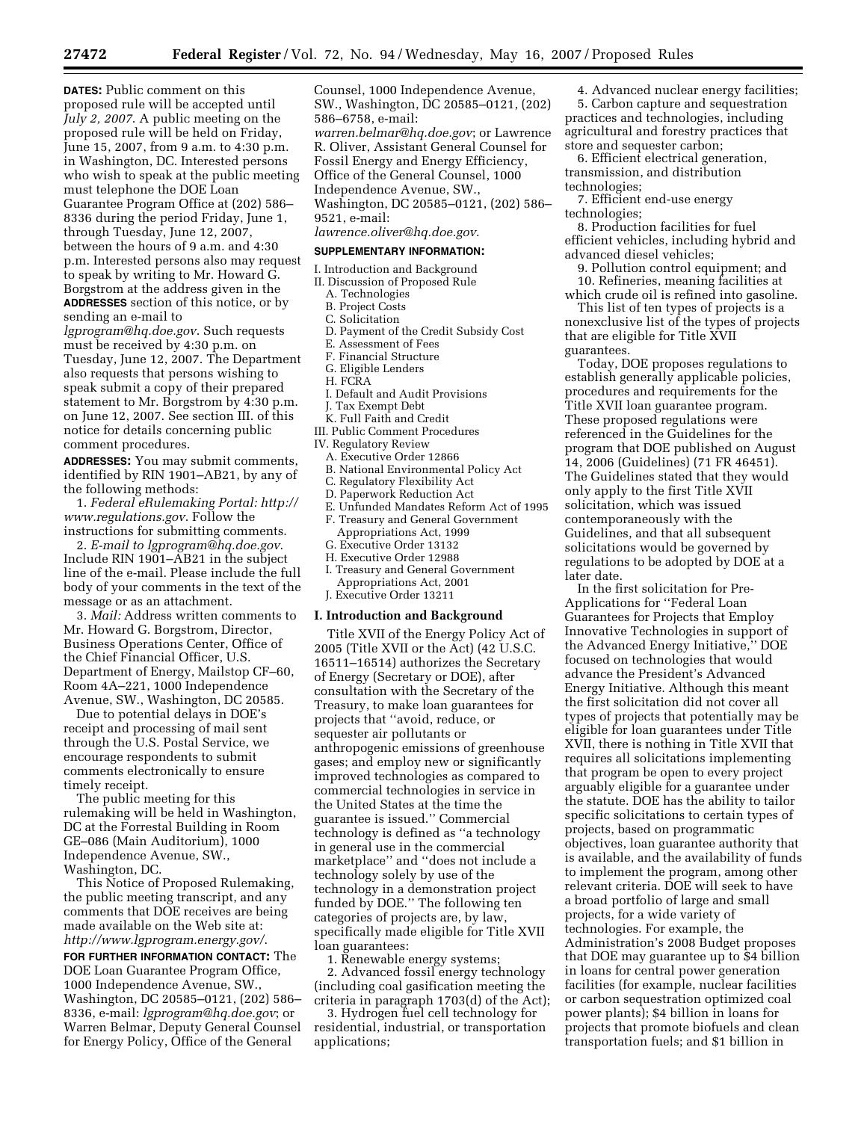**DATES:** Public comment on this proposed rule will be accepted until *July 2, 2007*. A public meeting on the proposed rule will be held on Friday, June 15, 2007, from 9 a.m. to 4:30 p.m. in Washington, DC. Interested persons who wish to speak at the public meeting must telephone the DOE Loan Guarantee Program Office at (202) 586– 8336 during the period Friday, June 1, through Tuesday, June 12, 2007, between the hours of 9 a.m. and 4:30 p.m. Interested persons also may request to speak by writing to Mr. Howard G. Borgstrom at the address given in the **ADDRESSES** section of this notice, or by sending an e-mail to

*[lgprogram@hq.doe.gov](mailto:lgprogram@hq.doe.gov)*. Such requests must be received by 4:30 p.m. on Tuesday, June 12, 2007. The Department also requests that persons wishing to speak submit a copy of their prepared statement to Mr. Borgstrom by 4:30 p.m. on June 12, 2007. See section III. of this notice for details concerning public comment procedures.

**ADDRESSES:** You may submit comments, identified by RIN 1901–AB21, by any of the following methods:

1. *[Federal eRulemaking Portal: http://](http://www.regulations.gov)  www.regulations.gov*. Follow the instructions for submitting comments.

2. *E-mail to [lgprogram@hq.doe.gov](mailto:lgprogram@hq.doe.gov)*. Include RIN 1901–AB21 in the subject line of the e-mail. Please include the full body of your comments in the text of the message or as an attachment.

3. *Mail:* Address written comments to Mr. Howard G. Borgstrom, Director, Business Operations Center, Office of the Chief Financial Officer, U.S. Department of Energy, Mailstop CF–60, Room 4A–221, 1000 Independence Avenue, SW., Washington, DC 20585.

Due to potential delays in DOE's receipt and processing of mail sent through the U.S. Postal Service, we encourage respondents to submit comments electronically to ensure timely receipt.

The public meeting for this rulemaking will be held in Washington, DC at the Forrestal Building in Room GE–086 (Main Auditorium), 1000 Independence Avenue, SW., Washington, DC.

This Notice of Proposed Rulemaking, the public meeting transcript, and any comments that DOE receives are being made available on the Web site at: *[http://www.lgprogram.energy.gov/](http://www.lgprogram.energy.gov)*.

**FOR FURTHER INFORMATION CONTACT:** The DOE Loan Guarantee Program Office, 1000 Independence Avenue, SW., Washington, DC 20585–0121, (202) 586– 8336, e-mail: *[lgprogram@hq.doe.gov](mailto:lgprogram@hq.doe.gov)*; or Warren Belmar, Deputy General Counsel for Energy Policy, Office of the General

Counsel, 1000 Independence Avenue, SW., Washington, DC 20585–0121, (202) 586–6758, e-mail: *[warren.belmar@hq.doe.gov](mailto:warren.belmar@hq.doe.gov)*; or Lawrence R. Oliver, Assistant General Counsel for Fossil Energy and Energy Efficiency, Office of the General Counsel, 1000 Independence Avenue, SW., Washington, DC 20585–0121, (202) 586– 9521, e-mail: *[lawrence.oliver@hq.doe.gov](mailto:lawrence.oliver@hq.doe.gov)*.

#### **SUPPLEMENTARY INFORMATION:**

- I. Introduction and Background
- II. Discussion of Proposed Rule
	- A. Technologies
	- B. Project Costs
	- C. Solicitation
	- D. Payment of the Credit Subsidy Cost
	- E. Assessment of Fees
	- F. Financial Structure
	- G. Eligible Lenders
	- H. FCRA
	- I. Default and Audit Provisions
	- J. Tax Exempt Debt
- K. Full Faith and Credit
- III. Public Comment Procedures
- IV. Regulatory Review
- A. Executive Order 12866
- B. National Environmental Policy Act
- C. Regulatory Flexibility Act
- D. Paperwork Reduction Act
- E. Unfunded Mandates Reform Act of 1995 F. Treasury and General Government
- Appropriations Act, 1999
- G. Executive Order 13132
- H. Executive Order 12988
- I. Treasury and General Government Appropriations Act, 2001
- J. Executive Order 13211

#### **I. Introduction and Background**

Title XVII of the Energy Policy Act of 2005 (Title XVII or the Act) (42 U.S.C. 16511–16514) authorizes the Secretary of Energy (Secretary or DOE), after consultation with the Secretary of the Treasury, to make loan guarantees for projects that ''avoid, reduce, or sequester air pollutants or anthropogenic emissions of greenhouse gases; and employ new or significantly improved technologies as compared to commercial technologies in service in the United States at the time the guarantee is issued.'' Commercial technology is defined as ''a technology in general use in the commercial marketplace'' and ''does not include a technology solely by use of the technology in a demonstration project funded by DOE.'' The following ten categories of projects are, by law, specifically made eligible for Title XVII loan guarantees:

1. Renewable energy systems; 2. Advanced fossil energy technology (including coal gasification meeting the criteria in paragraph 1703(d) of the Act);

3. Hydrogen fuel cell technology for residential, industrial, or transportation applications;

4. Advanced nuclear energy facilities; 5. Carbon capture and sequestration practices and technologies, including agricultural and forestry practices that store and sequester carbon;

6. Efficient electrical generation, transmission, and distribution technologies;

7. Efficient end-use energy technologies;

8. Production facilities for fuel efficient vehicles, including hybrid and advanced diesel vehicles;

9. Pollution control equipment; and 10. Refineries, meaning facilities at which crude oil is refined into gasoline.

This list of ten types of projects is a nonexclusive list of the types of projects that are eligible for Title XVII guarantees.

Today, DOE proposes regulations to establish generally applicable policies, procedures and requirements for the Title XVII loan guarantee program. These proposed regulations were referenced in the Guidelines for the program that DOE published on August 14, 2006 (Guidelines) (71 FR 46451). The Guidelines stated that they would only apply to the first Title XVII solicitation, which was issued contemporaneously with the Guidelines, and that all subsequent solicitations would be governed by regulations to be adopted by DOE at a later date.

In the first solicitation for Pre-Applications for ''Federal Loan Guarantees for Projects that Employ Innovative Technologies in support of the Advanced Energy Initiative,'' DOE focused on technologies that would advance the President's Advanced Energy Initiative. Although this meant the first solicitation did not cover all types of projects that potentially may be eligible for loan guarantees under Title XVII, there is nothing in Title XVII that requires all solicitations implementing that program be open to every project arguably eligible for a guarantee under the statute. DOE has the ability to tailor specific solicitations to certain types of projects, based on programmatic objectives, loan guarantee authority that is available, and the availability of funds to implement the program, among other relevant criteria. DOE will seek to have a broad portfolio of large and small projects, for a wide variety of technologies. For example, the Administration's 2008 Budget proposes that DOE may guarantee up to \$4 billion in loans for central power generation facilities (for example, nuclear facilities or carbon sequestration optimized coal power plants); \$4 billion in loans for projects that promote biofuels and clean transportation fuels; and \$1 billion in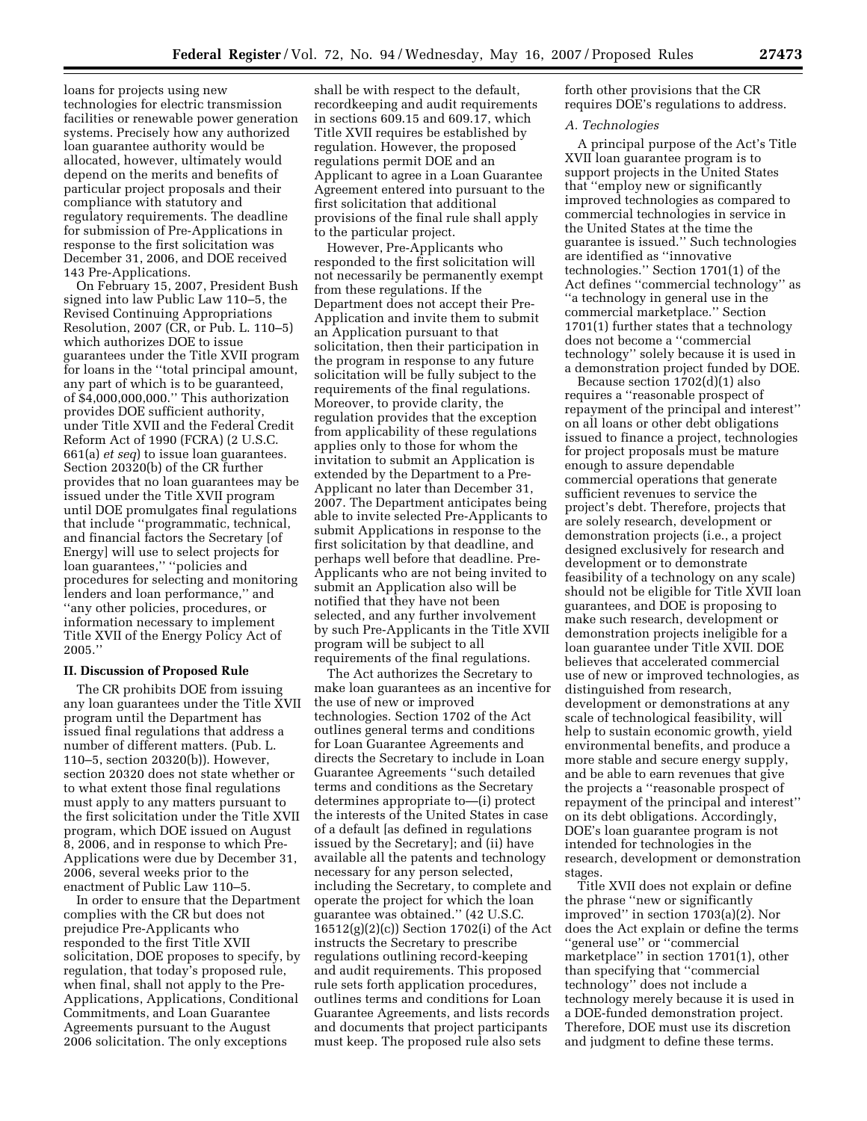loans for projects using new technologies for electric transmission facilities or renewable power generation systems. Precisely how any authorized loan guarantee authority would be allocated, however, ultimately would depend on the merits and benefits of particular project proposals and their compliance with statutory and regulatory requirements. The deadline for submission of Pre-Applications in response to the first solicitation was December 31, 2006, and DOE received 143 Pre-Applications.

On February 15, 2007, President Bush signed into law Public Law 110–5, the Revised Continuing Appropriations Resolution, 2007 (CR, or Pub. L. 110–5) which authorizes DOE to issue guarantees under the Title XVII program for loans in the ''total principal amount, any part of which is to be guaranteed, of \$4,000,000,000.'' This authorization provides DOE sufficient authority, under Title XVII and the Federal Credit Reform Act of 1990 (FCRA) (2 U.S.C. 661(a) *et seq*) to issue loan guarantees. Section 20320(b) of the CR further provides that no loan guarantees may be issued under the Title XVII program until DOE promulgates final regulations that include ''programmatic, technical, and financial factors the Secretary [of Energy] will use to select projects for loan guarantees,'' ''policies and procedures for selecting and monitoring lenders and loan performance,'' and ''any other policies, procedures, or information necessary to implement Title XVII of the Energy Policy Act of 2005.''

#### **II. Discussion of Proposed Rule**

The CR prohibits DOE from issuing any loan guarantees under the Title XVII program until the Department has issued final regulations that address a number of different matters. (Pub. L. 110–5, section 20320(b)). However, section 20320 does not state whether or to what extent those final regulations must apply to any matters pursuant to the first solicitation under the Title XVII program, which DOE issued on August 8, 2006, and in response to which Pre-Applications were due by December 31, 2006, several weeks prior to the enactment of Public Law 110–5.

In order to ensure that the Department complies with the CR but does not prejudice Pre-Applicants who responded to the first Title XVII solicitation, DOE proposes to specify, by regulation, that today's proposed rule, when final, shall not apply to the Pre-Applications, Applications, Conditional Commitments, and Loan Guarantee Agreements pursuant to the August 2006 solicitation. The only exceptions

shall be with respect to the default, recordkeeping and audit requirements in sections 609.15 and 609.17, which Title XVII requires be established by regulation. However, the proposed regulations permit DOE and an Applicant to agree in a Loan Guarantee Agreement entered into pursuant to the first solicitation that additional provisions of the final rule shall apply to the particular project.

However, Pre-Applicants who responded to the first solicitation will not necessarily be permanently exempt from these regulations. If the Department does not accept their Pre-Application and invite them to submit an Application pursuant to that solicitation, then their participation in the program in response to any future solicitation will be fully subject to the requirements of the final regulations. Moreover, to provide clarity, the regulation provides that the exception from applicability of these regulations applies only to those for whom the invitation to submit an Application is extended by the Department to a Pre-Applicant no later than December 31, 2007. The Department anticipates being able to invite selected Pre-Applicants to submit Applications in response to the first solicitation by that deadline, and perhaps well before that deadline. Pre-Applicants who are not being invited to submit an Application also will be notified that they have not been selected, and any further involvement by such Pre-Applicants in the Title XVII program will be subject to all requirements of the final regulations.

The Act authorizes the Secretary to make loan guarantees as an incentive for the use of new or improved technologies. Section 1702 of the Act outlines general terms and conditions for Loan Guarantee Agreements and directs the Secretary to include in Loan Guarantee Agreements ''such detailed terms and conditions as the Secretary determines appropriate to—(i) protect the interests of the United States in case of a default [as defined in regulations issued by the Secretary]; and (ii) have available all the patents and technology necessary for any person selected, including the Secretary, to complete and operate the project for which the loan guarantee was obtained.'' (42 U.S.C. 16512(g)(2)(c)) Section 1702(i) of the Act instructs the Secretary to prescribe regulations outlining record-keeping and audit requirements. This proposed rule sets forth application procedures, outlines terms and conditions for Loan Guarantee Agreements, and lists records and documents that project participants must keep. The proposed rule also sets

forth other provisions that the CR requires DOE's regulations to address.

#### *A. Technologies*

A principal purpose of the Act's Title XVII loan guarantee program is to support projects in the United States that ''employ new or significantly improved technologies as compared to commercial technologies in service in the United States at the time the guarantee is issued.'' Such technologies are identified as ''innovative technologies.'' Section 1701(1) of the Act defines ''commercial technology'' as ''a technology in general use in the commercial marketplace.'' Section 1701(1) further states that a technology does not become a ''commercial technology'' solely because it is used in a demonstration project funded by DOE.

Because section 1702(d)(1) also requires a ''reasonable prospect of repayment of the principal and interest'' on all loans or other debt obligations issued to finance a project, technologies for project proposals must be mature enough to assure dependable commercial operations that generate sufficient revenues to service the project's debt. Therefore, projects that are solely research, development or demonstration projects (i.e., a project designed exclusively for research and development or to demonstrate feasibility of a technology on any scale) should not be eligible for Title XVII loan guarantees, and DOE is proposing to make such research, development or demonstration projects ineligible for a loan guarantee under Title XVII. DOE believes that accelerated commercial use of new or improved technologies, as distinguished from research, development or demonstrations at any scale of technological feasibility, will help to sustain economic growth, yield environmental benefits, and produce a more stable and secure energy supply, and be able to earn revenues that give the projects a ''reasonable prospect of repayment of the principal and interest'' on its debt obligations. Accordingly, DOE's loan guarantee program is not intended for technologies in the research, development or demonstration stages.

Title XVII does not explain or define the phrase ''new or significantly improved'' in section 1703(a)(2). Nor does the Act explain or define the terms "general use" or "commercial marketplace'' in section 1701(1), other than specifying that ''commercial technology'' does not include a technology merely because it is used in a DOE-funded demonstration project. Therefore, DOE must use its discretion and judgment to define these terms.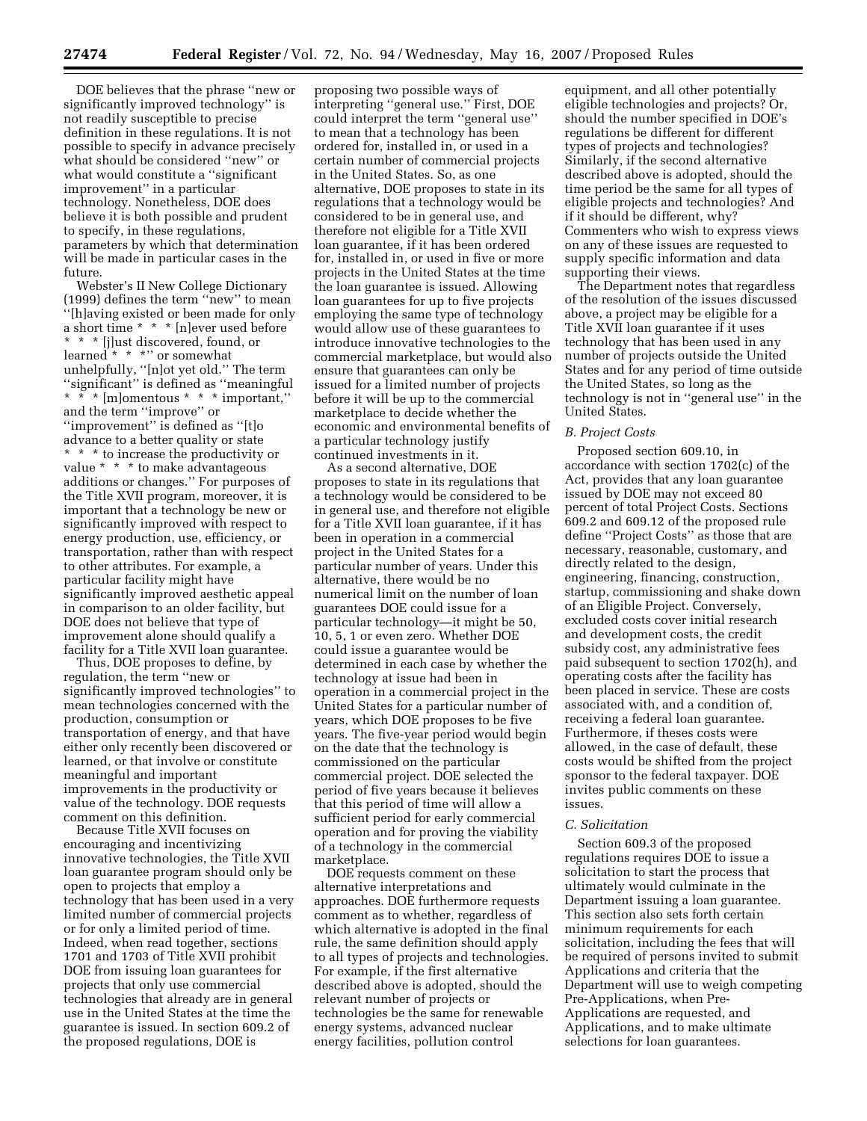DOE believes that the phrase ''new or significantly improved technology'' is not readily susceptible to precise definition in these regulations. It is not possible to specify in advance precisely what should be considered ''new'' or what would constitute a ''significant improvement'' in a particular technology. Nonetheless, DOE does believe it is both possible and prudent to specify, in these regulations, parameters by which that determination will be made in particular cases in the future.

Webster's II New College Dictionary (1999) defines the term ''new'' to mean ''[h]aving existed or been made for only a short time \* \* \* [n]ever used before \* \* \* [j]ust discovered, found, or learned \* \* \*'' or somewhat unhelpfully, ''[n]ot yet old.'' The term ''significant'' is defined as ''meaningful \* \* \* [m]omentous \* \* \* important,'' and the term ''improve'' or ''improvement'' is defined as ''[t]o advance to a better quality or state \* \* \* to increase the productivity or value \* \* \* to make advantageous additions or changes.'' For purposes of the Title XVII program, moreover, it is important that a technology be new or significantly improved with respect to energy production, use, efficiency, or transportation, rather than with respect to other attributes. For example, a particular facility might have significantly improved aesthetic appeal in comparison to an older facility, but DOE does not believe that type of improvement alone should qualify a facility for a Title XVII loan guarantee.

Thus, DOE proposes to define, by regulation, the term ''new or significantly improved technologies'' to mean technologies concerned with the production, consumption or transportation of energy, and that have either only recently been discovered or learned, or that involve or constitute meaningful and important improvements in the productivity or value of the technology. DOE requests comment on this definition.

Because Title XVII focuses on encouraging and incentivizing innovative technologies, the Title XVII loan guarantee program should only be open to projects that employ a technology that has been used in a very limited number of commercial projects or for only a limited period of time. Indeed, when read together, sections 1701 and 1703 of Title XVII prohibit DOE from issuing loan guarantees for projects that only use commercial technologies that already are in general use in the United States at the time the guarantee is issued. In section 609.2 of the proposed regulations, DOE is

proposing two possible ways of interpreting ''general use.'' First, DOE could interpret the term ''general use'' to mean that a technology has been ordered for, installed in, or used in a certain number of commercial projects in the United States. So, as one alternative, DOE proposes to state in its regulations that a technology would be considered to be in general use, and therefore not eligible for a Title XVII loan guarantee, if it has been ordered for, installed in, or used in five or more projects in the United States at the time the loan guarantee is issued. Allowing loan guarantees for up to five projects employing the same type of technology would allow use of these guarantees to introduce innovative technologies to the commercial marketplace, but would also ensure that guarantees can only be issued for a limited number of projects before it will be up to the commercial marketplace to decide whether the economic and environmental benefits of a particular technology justify continued investments in it.

As a second alternative, DOE proposes to state in its regulations that a technology would be considered to be in general use, and therefore not eligible for a Title XVII loan guarantee, if it has been in operation in a commercial project in the United States for a particular number of years. Under this alternative, there would be no numerical limit on the number of loan guarantees DOE could issue for a particular technology—it might be 50, 10, 5, 1 or even zero. Whether DOE could issue a guarantee would be determined in each case by whether the technology at issue had been in operation in a commercial project in the United States for a particular number of years, which DOE proposes to be five years. The five-year period would begin on the date that the technology is commissioned on the particular commercial project. DOE selected the period of five years because it believes that this period of time will allow a sufficient period for early commercial operation and for proving the viability of a technology in the commercial marketplace.

DOE requests comment on these alternative interpretations and approaches. DOE furthermore requests comment as to whether, regardless of which alternative is adopted in the final rule, the same definition should apply to all types of projects and technologies. For example, if the first alternative described above is adopted, should the relevant number of projects or technologies be the same for renewable energy systems, advanced nuclear energy facilities, pollution control

equipment, and all other potentially eligible technologies and projects? Or, should the number specified in DOE's regulations be different for different types of projects and technologies? Similarly, if the second alternative described above is adopted, should the time period be the same for all types of eligible projects and technologies? And if it should be different, why? Commenters who wish to express views on any of these issues are requested to supply specific information and data supporting their views.

The Department notes that regardless of the resolution of the issues discussed above, a project may be eligible for a Title XVII loan guarantee if it uses technology that has been used in any number of projects outside the United States and for any period of time outside the United States, so long as the technology is not in ''general use'' in the United States.

### *B. Project Costs*

Proposed section 609.10, in accordance with section 1702(c) of the Act, provides that any loan guarantee issued by DOE may not exceed 80 percent of total Project Costs. Sections 609.2 and 609.12 of the proposed rule define ''Project Costs'' as those that are necessary, reasonable, customary, and directly related to the design, engineering, financing, construction, startup, commissioning and shake down of an Eligible Project. Conversely, excluded costs cover initial research and development costs, the credit subsidy cost, any administrative fees paid subsequent to section 1702(h), and operating costs after the facility has been placed in service. These are costs associated with, and a condition of, receiving a federal loan guarantee. Furthermore, if theses costs were allowed, in the case of default, these costs would be shifted from the project sponsor to the federal taxpayer. DOE invites public comments on these issues.

### *C. Solicitation*

Section 609.3 of the proposed regulations requires DOE to issue a solicitation to start the process that ultimately would culminate in the Department issuing a loan guarantee. This section also sets forth certain minimum requirements for each solicitation, including the fees that will be required of persons invited to submit Applications and criteria that the Department will use to weigh competing Pre-Applications, when Pre-Applications are requested, and Applications, and to make ultimate selections for loan guarantees.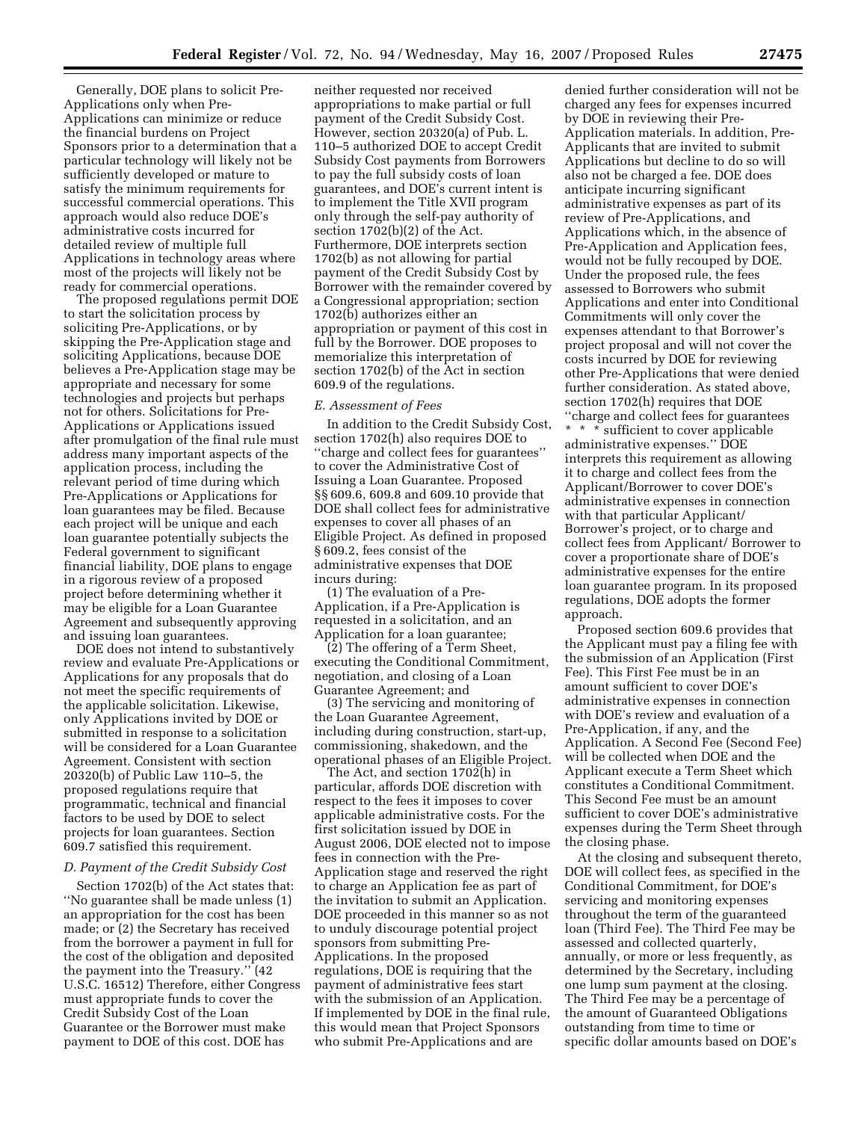Generally, DOE plans to solicit Pre-Applications only when Pre-Applications can minimize or reduce the financial burdens on Project Sponsors prior to a determination that a particular technology will likely not be sufficiently developed or mature to satisfy the minimum requirements for successful commercial operations. This approach would also reduce DOE's administrative costs incurred for detailed review of multiple full Applications in technology areas where most of the projects will likely not be ready for commercial operations.

The proposed regulations permit DOE to start the solicitation process by soliciting Pre-Applications, or by skipping the Pre-Application stage and soliciting Applications, because DOE believes a Pre-Application stage may be appropriate and necessary for some technologies and projects but perhaps not for others. Solicitations for Pre-Applications or Applications issued after promulgation of the final rule must address many important aspects of the application process, including the relevant period of time during which Pre-Applications or Applications for loan guarantees may be filed. Because each project will be unique and each loan guarantee potentially subjects the Federal government to significant financial liability, DOE plans to engage in a rigorous review of a proposed project before determining whether it may be eligible for a Loan Guarantee Agreement and subsequently approving and issuing loan guarantees.

DOE does not intend to substantively review and evaluate Pre-Applications or Applications for any proposals that do not meet the specific requirements of the applicable solicitation. Likewise, only Applications invited by DOE or submitted in response to a solicitation will be considered for a Loan Guarantee Agreement. Consistent with section 20320(b) of Public Law 110–5, the proposed regulations require that programmatic, technical and financial factors to be used by DOE to select projects for loan guarantees. Section 609.7 satisfied this requirement.

#### *D. Payment of the Credit Subsidy Cost*

Section 1702(b) of the Act states that: ''No guarantee shall be made unless (1) an appropriation for the cost has been made; or (2) the Secretary has received from the borrower a payment in full for the cost of the obligation and deposited the payment into the Treasury.'' (42 U.S.C. 16512) Therefore, either Congress must appropriate funds to cover the Credit Subsidy Cost of the Loan Guarantee or the Borrower must make payment to DOE of this cost. DOE has

neither requested nor received appropriations to make partial or full payment of the Credit Subsidy Cost. However, section 20320(a) of Pub. L. 110–5 authorized DOE to accept Credit Subsidy Cost payments from Borrowers to pay the full subsidy costs of loan guarantees, and DOE's current intent is to implement the Title XVII program only through the self-pay authority of section 1702(b)(2) of the Act. Furthermore, DOE interprets section 1702(b) as not allowing for partial payment of the Credit Subsidy Cost by Borrower with the remainder covered by a Congressional appropriation; section 1702(b) authorizes either an appropriation or payment of this cost in full by the Borrower. DOE proposes to memorialize this interpretation of section 1702(b) of the Act in section 609.9 of the regulations.

#### *E. Assessment of Fees*

In addition to the Credit Subsidy Cost, section 1702(h) also requires DOE to ''charge and collect fees for guarantees'' to cover the Administrative Cost of Issuing a Loan Guarantee. Proposed §§ 609.6, 609.8 and 609.10 provide that DOE shall collect fees for administrative expenses to cover all phases of an Eligible Project. As defined in proposed § 609.2, fees consist of the administrative expenses that DOE incurs during:

(1) The evaluation of a Pre-Application, if a Pre-Application is requested in a solicitation, and an Application for a loan guarantee;

(2) The offering of a Term Sheet, executing the Conditional Commitment, negotiation, and closing of a Loan Guarantee Agreement; and

(3) The servicing and monitoring of the Loan Guarantee Agreement, including during construction, start-up, commissioning, shakedown, and the operational phases of an Eligible Project.

The Act, and section 1702(h) in particular, affords DOE discretion with respect to the fees it imposes to cover applicable administrative costs. For the first solicitation issued by DOE in August 2006, DOE elected not to impose fees in connection with the Pre-Application stage and reserved the right to charge an Application fee as part of the invitation to submit an Application. DOE proceeded in this manner so as not to unduly discourage potential project sponsors from submitting Pre-Applications. In the proposed regulations, DOE is requiring that the payment of administrative fees start with the submission of an Application. If implemented by DOE in the final rule, this would mean that Project Sponsors who submit Pre-Applications and are

denied further consideration will not be charged any fees for expenses incurred by DOE in reviewing their Pre-Application materials. In addition, Pre-Applicants that are invited to submit Applications but decline to do so will also not be charged a fee. DOE does anticipate incurring significant administrative expenses as part of its review of Pre-Applications, and Applications which, in the absence of Pre-Application and Application fees, would not be fully recouped by DOE. Under the proposed rule, the fees assessed to Borrowers who submit Applications and enter into Conditional Commitments will only cover the expenses attendant to that Borrower's project proposal and will not cover the costs incurred by DOE for reviewing other Pre-Applications that were denied further consideration. As stated above, section 1702(h) requires that DOE ''charge and collect fees for guarantees \* \* \* sufficient to cover applicable administrative expenses.'' DOE interprets this requirement as allowing it to charge and collect fees from the Applicant/Borrower to cover DOE's administrative expenses in connection with that particular Applicant/ Borrower's project, or to charge and collect fees from Applicant/ Borrower to cover a proportionate share of DOE's administrative expenses for the entire loan guarantee program. In its proposed regulations, DOE adopts the former

Proposed section 609.6 provides that the Applicant must pay a filing fee with the submission of an Application (First Fee). This First Fee must be in an amount sufficient to cover DOE's administrative expenses in connection with DOE's review and evaluation of a Pre-Application, if any, and the Application. A Second Fee (Second Fee) will be collected when DOE and the Applicant execute a Term Sheet which constitutes a Conditional Commitment. This Second Fee must be an amount sufficient to cover DOE's administrative expenses during the Term Sheet through the closing phase.

approach.

At the closing and subsequent thereto, DOE will collect fees, as specified in the Conditional Commitment, for DOE's servicing and monitoring expenses throughout the term of the guaranteed loan (Third Fee). The Third Fee may be assessed and collected quarterly, annually, or more or less frequently, as determined by the Secretary, including one lump sum payment at the closing. The Third Fee may be a percentage of the amount of Guaranteed Obligations outstanding from time to time or specific dollar amounts based on DOE's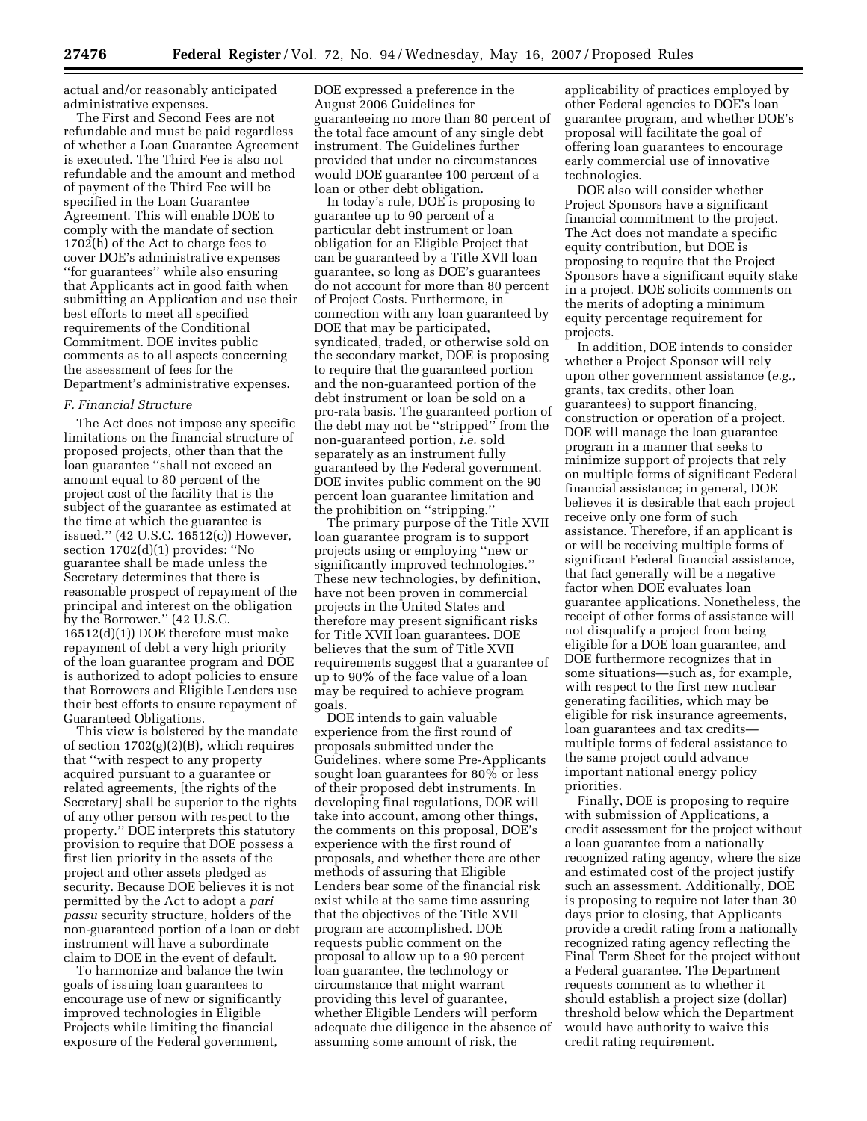actual and/or reasonably anticipated administrative expenses.

The First and Second Fees are not refundable and must be paid regardless of whether a Loan Guarantee Agreement is executed. The Third Fee is also not refundable and the amount and method of payment of the Third Fee will be specified in the Loan Guarantee Agreement. This will enable DOE to comply with the mandate of section 1702(h) of the Act to charge fees to cover DOE's administrative expenses ''for guarantees'' while also ensuring that Applicants act in good faith when submitting an Application and use their best efforts to meet all specified requirements of the Conditional Commitment. DOE invites public comments as to all aspects concerning the assessment of fees for the Department's administrative expenses.

### *F. Financial Structure*

The Act does not impose any specific limitations on the financial structure of proposed projects, other than that the loan guarantee ''shall not exceed an amount equal to 80 percent of the project cost of the facility that is the subject of the guarantee as estimated at the time at which the guarantee is issued.'' (42 U.S.C. 16512(c)) However, section 1702(d)(1) provides: ''No guarantee shall be made unless the Secretary determines that there is reasonable prospect of repayment of the principal and interest on the obligation by the Borrower.'' (42 U.S.C. 16512(d)(1)) DOE therefore must make repayment of debt a very high priority of the loan guarantee program and DOE is authorized to adopt policies to ensure that Borrowers and Eligible Lenders use their best efforts to ensure repayment of Guaranteed Obligations.

This view is bolstered by the mandate of section 1702(g)(2)(B), which requires that ''with respect to any property acquired pursuant to a guarantee or related agreements, [the rights of the Secretary] shall be superior to the rights of any other person with respect to the property.'' DOE interprets this statutory provision to require that DOE possess a first lien priority in the assets of the project and other assets pledged as security. Because DOE believes it is not permitted by the Act to adopt a *pari passu* security structure, holders of the non-guaranteed portion of a loan or debt instrument will have a subordinate claim to DOE in the event of default.

To harmonize and balance the twin goals of issuing loan guarantees to encourage use of new or significantly improved technologies in Eligible Projects while limiting the financial exposure of the Federal government,

DOE expressed a preference in the August 2006 Guidelines for guaranteeing no more than 80 percent of the total face amount of any single debt instrument. The Guidelines further provided that under no circumstances would DOE guarantee 100 percent of a loan or other debt obligation.

In today's rule, DOE is proposing to guarantee up to 90 percent of a particular debt instrument or loan obligation for an Eligible Project that can be guaranteed by a Title XVII loan guarantee, so long as DOE's guarantees do not account for more than 80 percent of Project Costs. Furthermore, in connection with any loan guaranteed by DOE that may be participated, syndicated, traded, or otherwise sold on the secondary market, DOE is proposing to require that the guaranteed portion and the non-guaranteed portion of the debt instrument or loan be sold on a pro-rata basis. The guaranteed portion of the debt may not be ''stripped'' from the non-guaranteed portion, *i.e.* sold separately as an instrument fully guaranteed by the Federal government. DOE invites public comment on the 90 percent loan guarantee limitation and the prohibition on ''stripping.''

The primary purpose of the Title XVII loan guarantee program is to support projects using or employing ''new or significantly improved technologies.'' These new technologies, by definition, have not been proven in commercial projects in the United States and therefore may present significant risks for Title XVII loan guarantees. DOE believes that the sum of Title XVII requirements suggest that a guarantee of up to 90% of the face value of a loan may be required to achieve program goals.

DOE intends to gain valuable experience from the first round of proposals submitted under the Guidelines, where some Pre-Applicants sought loan guarantees for 80% or less of their proposed debt instruments. In developing final regulations, DOE will take into account, among other things, the comments on this proposal, DOE's experience with the first round of proposals, and whether there are other methods of assuring that Eligible Lenders bear some of the financial risk exist while at the same time assuring that the objectives of the Title XVII program are accomplished. DOE requests public comment on the proposal to allow up to a 90 percent loan guarantee, the technology or circumstance that might warrant providing this level of guarantee, whether Eligible Lenders will perform adequate due diligence in the absence of assuming some amount of risk, the

applicability of practices employed by other Federal agencies to DOE's loan guarantee program, and whether DOE's proposal will facilitate the goal of offering loan guarantees to encourage early commercial use of innovative technologies.

DOE also will consider whether Project Sponsors have a significant financial commitment to the project. The Act does not mandate a specific equity contribution, but DOE is proposing to require that the Project Sponsors have a significant equity stake in a project. DOE solicits comments on the merits of adopting a minimum equity percentage requirement for projects.

In addition, DOE intends to consider whether a Project Sponsor will rely upon other government assistance (*e.g.*, grants, tax credits, other loan guarantees) to support financing, construction or operation of a project. DOE will manage the loan guarantee program in a manner that seeks to minimize support of projects that rely on multiple forms of significant Federal financial assistance; in general, DOE believes it is desirable that each project receive only one form of such assistance. Therefore, if an applicant is or will be receiving multiple forms of significant Federal financial assistance, that fact generally will be a negative factor when DOE evaluates loan guarantee applications. Nonetheless, the receipt of other forms of assistance will not disqualify a project from being eligible for a DOE loan guarantee, and DOE furthermore recognizes that in some situations—such as, for example, with respect to the first new nuclear generating facilities, which may be eligible for risk insurance agreements, loan guarantees and tax credits multiple forms of federal assistance to the same project could advance important national energy policy priorities.

Finally, DOE is proposing to require with submission of Applications, a credit assessment for the project without a loan guarantee from a nationally recognized rating agency, where the size and estimated cost of the project justify such an assessment. Additionally, DOE is proposing to require not later than 30 days prior to closing, that Applicants provide a credit rating from a nationally recognized rating agency reflecting the Final Term Sheet for the project without a Federal guarantee. The Department requests comment as to whether it should establish a project size (dollar) threshold below which the Department would have authority to waive this credit rating requirement.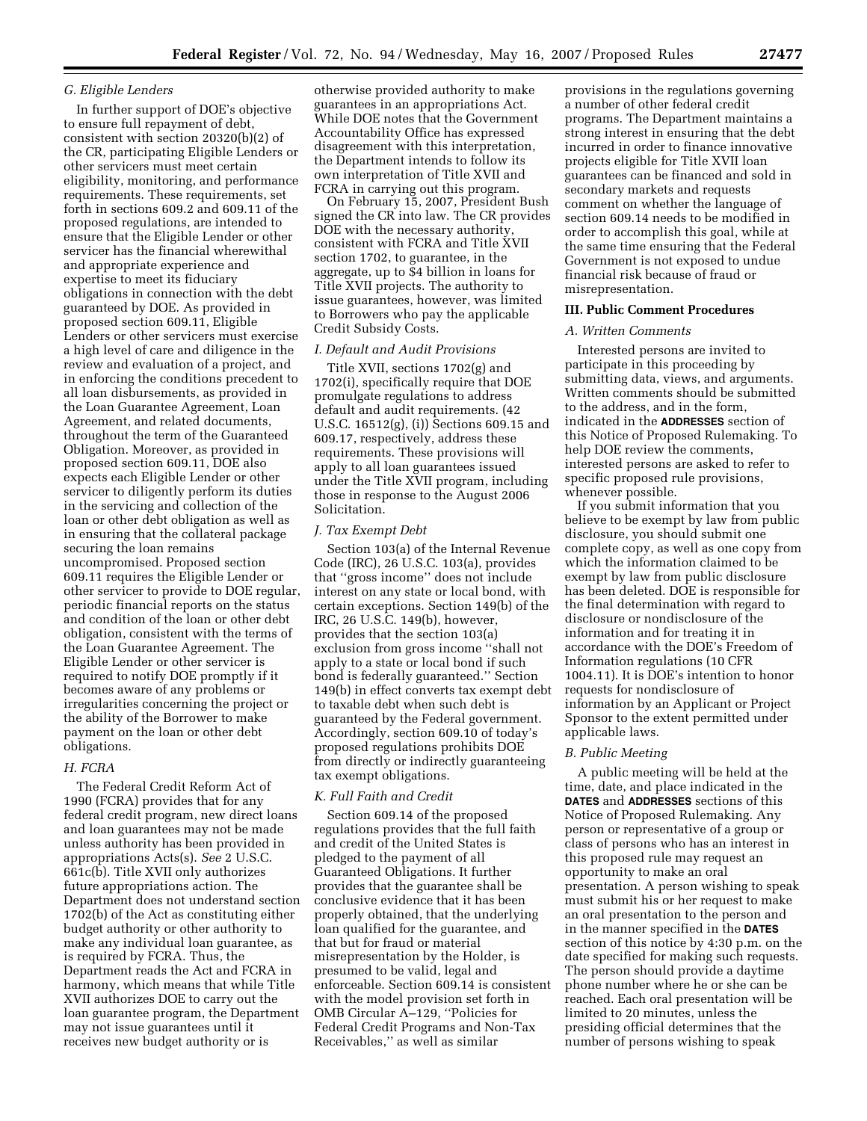# *G. Eligible Lenders*

In further support of DOE's objective to ensure full repayment of debt, consistent with section 20320(b)(2) of the CR, participating Eligible Lenders or other servicers must meet certain eligibility, monitoring, and performance requirements. These requirements, set forth in sections 609.2 and 609.11 of the proposed regulations, are intended to ensure that the Eligible Lender or other servicer has the financial wherewithal and appropriate experience and expertise to meet its fiduciary obligations in connection with the debt guaranteed by DOE. As provided in proposed section 609.11, Eligible Lenders or other servicers must exercise a high level of care and diligence in the review and evaluation of a project, and in enforcing the conditions precedent to all loan disbursements, as provided in the Loan Guarantee Agreement, Loan Agreement, and related documents, throughout the term of the Guaranteed Obligation. Moreover, as provided in proposed section 609.11, DOE also expects each Eligible Lender or other servicer to diligently perform its duties in the servicing and collection of the loan or other debt obligation as well as in ensuring that the collateral package securing the loan remains uncompromised. Proposed section 609.11 requires the Eligible Lender or other servicer to provide to DOE regular, periodic financial reports on the status and condition of the loan or other debt obligation, consistent with the terms of the Loan Guarantee Agreement. The Eligible Lender or other servicer is required to notify DOE promptly if it becomes aware of any problems or irregularities concerning the project or the ability of the Borrower to make payment on the loan or other debt obligations.

# *H. FCRA*

The Federal Credit Reform Act of 1990 (FCRA) provides that for any federal credit program, new direct loans and loan guarantees may not be made unless authority has been provided in appropriations Acts(s). *See* 2 U.S.C. 661c(b). Title XVII only authorizes future appropriations action. The Department does not understand section 1702(b) of the Act as constituting either budget authority or other authority to make any individual loan guarantee, as is required by FCRA. Thus, the Department reads the Act and FCRA in harmony, which means that while Title XVII authorizes DOE to carry out the loan guarantee program, the Department may not issue guarantees until it receives new budget authority or is

otherwise provided authority to make guarantees in an appropriations Act. While DOE notes that the Government Accountability Office has expressed disagreement with this interpretation, the Department intends to follow its own interpretation of Title XVII and FCRA in carrying out this program.

On February 15, 2007, President Bush signed the CR into law. The CR provides DOE with the necessary authority, consistent with FCRA and Title XVII section 1702, to guarantee, in the aggregate, up to \$4 billion in loans for Title XVII projects. The authority to issue guarantees, however, was limited to Borrowers who pay the applicable Credit Subsidy Costs.

### *I. Default and Audit Provisions*

Title XVII, sections 1702(g) and 1702(i), specifically require that DOE promulgate regulations to address default and audit requirements. (42 U.S.C. 16512(g), (i)) Sections 609.15 and 609.17, respectively, address these requirements. These provisions will apply to all loan guarantees issued under the Title XVII program, including those in response to the August 2006 Solicitation.

### *J. Tax Exempt Debt*

Section 103(a) of the Internal Revenue Code (IRC), 26 U.S.C. 103(a), provides that ''gross income'' does not include interest on any state or local bond, with certain exceptions. Section 149(b) of the IRC, 26 U.S.C. 149(b), however, provides that the section 103(a) exclusion from gross income ''shall not apply to a state or local bond if such bond is federally guaranteed.'' Section 149(b) in effect converts tax exempt debt to taxable debt when such debt is guaranteed by the Federal government. Accordingly, section 609.10 of today's proposed regulations prohibits DOE from directly or indirectly guaranteeing tax exempt obligations.

### *K. Full Faith and Credit*

Section 609.14 of the proposed regulations provides that the full faith and credit of the United States is pledged to the payment of all Guaranteed Obligations. It further provides that the guarantee shall be conclusive evidence that it has been properly obtained, that the underlying loan qualified for the guarantee, and that but for fraud or material misrepresentation by the Holder, is presumed to be valid, legal and enforceable. Section 609.14 is consistent with the model provision set forth in OMB Circular A–129, ''Policies for Federal Credit Programs and Non-Tax Receivables,'' as well as similar

provisions in the regulations governing a number of other federal credit programs. The Department maintains a strong interest in ensuring that the debt incurred in order to finance innovative projects eligible for Title XVII loan guarantees can be financed and sold in secondary markets and requests comment on whether the language of section 609.14 needs to be modified in order to accomplish this goal, while at the same time ensuring that the Federal Government is not exposed to undue financial risk because of fraud or misrepresentation.

### **III. Public Comment Procedures**

#### *A. Written Comments*

Interested persons are invited to participate in this proceeding by submitting data, views, and arguments. Written comments should be submitted to the address, and in the form, indicated in the **ADDRESSES** section of this Notice of Proposed Rulemaking. To help DOE review the comments, interested persons are asked to refer to specific proposed rule provisions, whenever possible.

If you submit information that you believe to be exempt by law from public disclosure, you should submit one complete copy, as well as one copy from which the information claimed to be exempt by law from public disclosure has been deleted. DOE is responsible for the final determination with regard to disclosure or nondisclosure of the information and for treating it in accordance with the DOE's Freedom of Information regulations (10 CFR 1004.11). It is DOE's intention to honor requests for nondisclosure of information by an Applicant or Project Sponsor to the extent permitted under applicable laws.

## *B. Public Meeting*

A public meeting will be held at the time, date, and place indicated in the **DATES** and **ADDRESSES** sections of this Notice of Proposed Rulemaking. Any person or representative of a group or class of persons who has an interest in this proposed rule may request an opportunity to make an oral presentation. A person wishing to speak must submit his or her request to make an oral presentation to the person and in the manner specified in the **DATES** section of this notice by 4:30 p.m. on the date specified for making such requests. The person should provide a daytime phone number where he or she can be reached. Each oral presentation will be limited to 20 minutes, unless the presiding official determines that the number of persons wishing to speak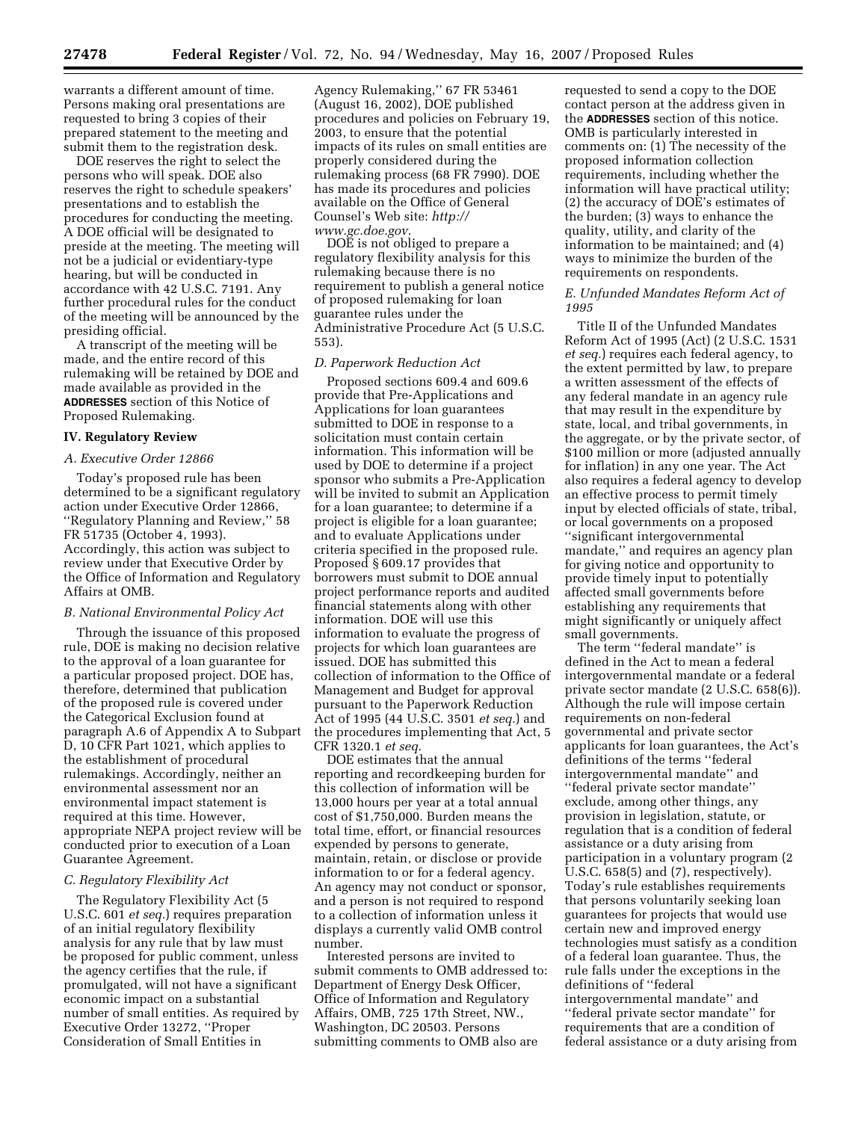warrants a different amount of time. Persons making oral presentations are requested to bring 3 copies of their prepared statement to the meeting and submit them to the registration desk.

DOE reserves the right to select the persons who will speak. DOE also reserves the right to schedule speakers' presentations and to establish the procedures for conducting the meeting. A DOE official will be designated to preside at the meeting. The meeting will not be a judicial or evidentiary-type hearing, but will be conducted in accordance with 42 U.S.C. 7191. Any further procedural rules for the conduct of the meeting will be announced by the presiding official.

A transcript of the meeting will be made, and the entire record of this rulemaking will be retained by DOE and made available as provided in the **ADDRESSES** section of this Notice of Proposed Rulemaking.

#### **IV. Regulatory Review**

#### *A. Executive Order 12866*

Today's proposed rule has been determined to be a significant regulatory action under Executive Order 12866, ''Regulatory Planning and Review,'' 58 FR 51735 (October 4, 1993). Accordingly, this action was subject to review under that Executive Order by the Office of Information and Regulatory Affairs at OMB.

#### *B. National Environmental Policy Act*

Through the issuance of this proposed rule, DOE is making no decision relative to the approval of a loan guarantee for a particular proposed project. DOE has, therefore, determined that publication of the proposed rule is covered under the Categorical Exclusion found at paragraph A.6 of Appendix A to Subpart D, 10 CFR Part 1021, which applies to the establishment of procedural rulemakings. Accordingly, neither an environmental assessment nor an environmental impact statement is required at this time. However, appropriate NEPA project review will be conducted prior to execution of a Loan Guarantee Agreement.

### *C. Regulatory Flexibility Act*

The Regulatory Flexibility Act (5 U.S.C. 601 *et seq.*) requires preparation of an initial regulatory flexibility analysis for any rule that by law must be proposed for public comment, unless the agency certifies that the rule, if promulgated, will not have a significant economic impact on a substantial number of small entities. As required by Executive Order 13272, ''Proper Consideration of Small Entities in

Agency Rulemaking,'' 67 FR 53461 (August 16, 2002), DOE published procedures and policies on February 19, 2003, to ensure that the potential impacts of its rules on small entities are properly considered during the rulemaking process (68 FR 7990). DOE has made its procedures and policies available on the Office of General [Counsel's Web site:](http://www.gc.doe.gov) *http:// www.gc.doe.gov*.

DOE is not obliged to prepare a regulatory flexibility analysis for this rulemaking because there is no requirement to publish a general notice of proposed rulemaking for loan guarantee rules under the Administrative Procedure Act (5 U.S.C. 553).

### *D. Paperwork Reduction Act*

Proposed sections 609.4 and 609.6 provide that Pre-Applications and Applications for loan guarantees submitted to DOE in response to a solicitation must contain certain information. This information will be used by DOE to determine if a project sponsor who submits a Pre-Application will be invited to submit an Application for a loan guarantee; to determine if a project is eligible for a loan guarantee; and to evaluate Applications under criteria specified in the proposed rule. Proposed § 609.17 provides that borrowers must submit to DOE annual project performance reports and audited financial statements along with other information. DOE will use this information to evaluate the progress of projects for which loan guarantees are issued. DOE has submitted this collection of information to the Office of Management and Budget for approval pursuant to the Paperwork Reduction Act of 1995 (44 U.S.C. 3501 *et seq.*) and the procedures implementing that Act, 5 CFR 1320.1 *et seq.* 

DOE estimates that the annual reporting and recordkeeping burden for this collection of information will be 13,000 hours per year at a total annual cost of \$1,750,000. Burden means the total time, effort, or financial resources expended by persons to generate, maintain, retain, or disclose or provide information to or for a federal agency. An agency may not conduct or sponsor, and a person is not required to respond to a collection of information unless it displays a currently valid OMB control number.

Interested persons are invited to submit comments to OMB addressed to: Department of Energy Desk Officer, Office of Information and Regulatory Affairs, OMB, 725 17th Street, NW., Washington, DC 20503. Persons submitting comments to OMB also are

requested to send a copy to the DOE contact person at the address given in the **ADDRESSES** section of this notice. OMB is particularly interested in comments on: (1) The necessity of the proposed information collection requirements, including whether the information will have practical utility; (2) the accuracy of DOE's estimates of the burden; (3) ways to enhance the quality, utility, and clarity of the information to be maintained; and (4) ways to minimize the burden of the requirements on respondents.

# *E. Unfunded Mandates Reform Act of 1995*

Title II of the Unfunded Mandates Reform Act of 1995 (Act) (2 U.S.C. 1531 *et seq.*) requires each federal agency, to the extent permitted by law, to prepare a written assessment of the effects of any federal mandate in an agency rule that may result in the expenditure by state, local, and tribal governments, in the aggregate, or by the private sector, of \$100 million or more (adjusted annually for inflation) in any one year. The Act also requires a federal agency to develop an effective process to permit timely input by elected officials of state, tribal, or local governments on a proposed ''significant intergovernmental mandate,'' and requires an agency plan for giving notice and opportunity to provide timely input to potentially affected small governments before establishing any requirements that might significantly or uniquely affect small governments.

The term "federal mandate" is defined in the Act to mean a federal intergovernmental mandate or a federal private sector mandate (2 U.S.C. 658(6)). Although the rule will impose certain requirements on non-federal governmental and private sector applicants for loan guarantees, the Act's definitions of the terms ''federal intergovernmental mandate'' and ''federal private sector mandate'' exclude, among other things, any provision in legislation, statute, or regulation that is a condition of federal assistance or a duty arising from participation in a voluntary program (2 U.S.C. 658(5) and (7), respectively). Today's rule establishes requirements that persons voluntarily seeking loan guarantees for projects that would use certain new and improved energy technologies must satisfy as a condition of a federal loan guarantee. Thus, the rule falls under the exceptions in the definitions of ''federal intergovernmental mandate'' and ''federal private sector mandate'' for requirements that are a condition of federal assistance or a duty arising from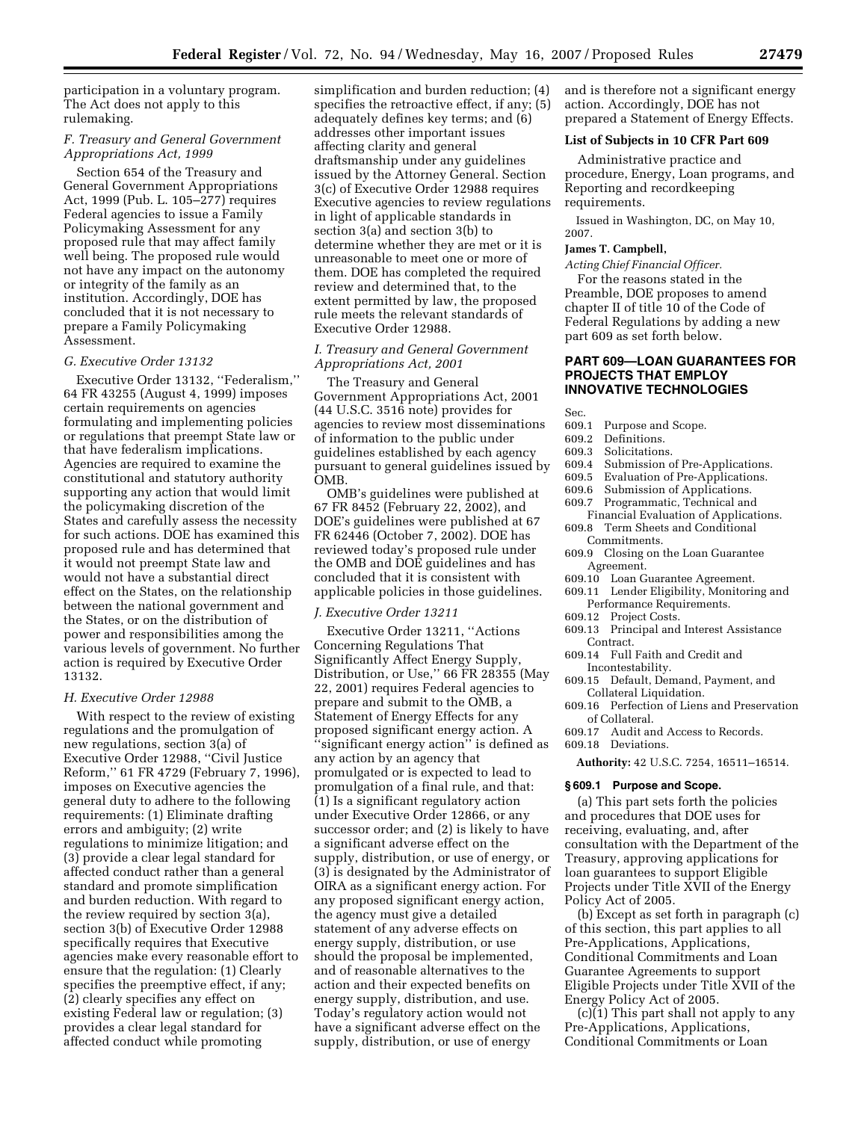participation in a voluntary program. The Act does not apply to this rulemaking.

# *F. Treasury and General Government Appropriations Act, 1999*

Section 654 of the Treasury and General Government Appropriations Act, 1999 (Pub. L. 105–277) requires Federal agencies to issue a Family Policymaking Assessment for any proposed rule that may affect family well being. The proposed rule would not have any impact on the autonomy or integrity of the family as an institution. Accordingly, DOE has concluded that it is not necessary to prepare a Family Policymaking Assessment.

#### *G. Executive Order 13132*

Executive Order 13132, ''Federalism,'' 64 FR 43255 (August 4, 1999) imposes certain requirements on agencies formulating and implementing policies or regulations that preempt State law or that have federalism implications. Agencies are required to examine the constitutional and statutory authority supporting any action that would limit the policymaking discretion of the States and carefully assess the necessity for such actions. DOE has examined this proposed rule and has determined that it would not preempt State law and would not have a substantial direct effect on the States, on the relationship between the national government and the States, or on the distribution of power and responsibilities among the various levels of government. No further action is required by Executive Order 13132.

#### *H. Executive Order 12988*

With respect to the review of existing regulations and the promulgation of new regulations, section 3(a) of Executive Order 12988, ''Civil Justice Reform,'' 61 FR 4729 (February 7, 1996), imposes on Executive agencies the general duty to adhere to the following requirements: (1) Eliminate drafting errors and ambiguity; (2) write regulations to minimize litigation; and (3) provide a clear legal standard for affected conduct rather than a general standard and promote simplification and burden reduction. With regard to the review required by section 3(a), section 3(b) of Executive Order 12988 specifically requires that Executive agencies make every reasonable effort to ensure that the regulation: (1) Clearly specifies the preemptive effect, if any; (2) clearly specifies any effect on existing Federal law or regulation; (3) provides a clear legal standard for affected conduct while promoting

simplification and burden reduction; (4) specifies the retroactive effect, if any; (5) adequately defines key terms; and (6) addresses other important issues affecting clarity and general draftsmanship under any guidelines issued by the Attorney General. Section 3(c) of Executive Order 12988 requires Executive agencies to review regulations in light of applicable standards in section 3(a) and section 3(b) to determine whether they are met or it is unreasonable to meet one or more of them. DOE has completed the required review and determined that, to the extent permitted by law, the proposed rule meets the relevant standards of Executive Order 12988.

# *I. Treasury and General Government Appropriations Act, 2001*

The Treasury and General Government Appropriations Act, 2001 (44 U.S.C. 3516 note) provides for agencies to review most disseminations of information to the public under guidelines established by each agency pursuant to general guidelines issued by OMB.

OMB's guidelines were published at 67 FR 8452 (February 22, 2002), and DOE's guidelines were published at 67 FR 62446 (October 7, 2002). DOE has reviewed today's proposed rule under the OMB and DOE guidelines and has concluded that it is consistent with applicable policies in those guidelines.

## *J. Executive Order 13211*

Executive Order 13211, ''Actions Concerning Regulations That Significantly Affect Energy Supply, Distribution, or Use,'' 66 FR 28355 (May 22, 2001) requires Federal agencies to prepare and submit to the OMB, a Statement of Energy Effects for any proposed significant energy action. A ''significant energy action'' is defined as any action by an agency that promulgated or is expected to lead to promulgation of a final rule, and that: (1) Is a significant regulatory action under Executive Order 12866, or any successor order; and (2) is likely to have a significant adverse effect on the supply, distribution, or use of energy, or (3) is designated by the Administrator of OIRA as a significant energy action. For any proposed significant energy action, the agency must give a detailed statement of any adverse effects on energy supply, distribution, or use should the proposal be implemented, and of reasonable alternatives to the action and their expected benefits on energy supply, distribution, and use. Today's regulatory action would not have a significant adverse effect on the supply, distribution, or use of energy

and is therefore not a significant energy action. Accordingly, DOE has not prepared a Statement of Energy Effects.

#### **List of Subjects in 10 CFR Part 609**

Administrative practice and procedure, Energy, Loan programs, and Reporting and recordkeeping requirements.

Issued in Washington, DC, on May 10, 2007.

#### **James T. Campbell,**

*Acting Chief Financial Officer.*  For the reasons stated in the Preamble, DOE proposes to amend chapter II of title 10 of the Code of Federal Regulations by adding a new

# **PART 609—LOAN GUARANTEES FOR PROJECTS THAT EMPLOY INNOVATIVE TECHNOLOGIES**

Sec.<br>609.1 Purpose and Scope.

part 609 as set forth below.

- 609.2 Definitions.
- 609.3 Solicitations.<br>609.4 Submission of
- Submission of Pre-Applications.
- 609.5 Evaluation of Pre-Applications.<br>609.6 Submission of Applications.
- Submission of Applications.
- 609.7 Programmatic, Technical and
- Financial Evaluation of Applications. 609.8 Term Sheets and Conditional Commitments.
- 609.9 Closing on the Loan Guarantee Agreement.
- 609.10 Loan Guarantee Agreement.
- 609.11 Lender Eligibility, Monitoring and Performance Requirements.
- 609.12 Project Costs.
- 609.13 Principal and Interest Assistance Contract.
- 609.14 Full Faith and Credit and Incontestability.
- 609.15 Default, Demand, Payment, and Collateral Liquidation.
- 609.16 Perfection of Liens and Preservation of Collateral.
- 609.17 Audit and Access to Records.
- 609.18 Deviations.

**Authority:** 42 U.S.C. 7254, 16511–16514.

### **§ 609.1 Purpose and Scope.**

(a) This part sets forth the policies and procedures that DOE uses for receiving, evaluating, and, after consultation with the Department of the Treasury, approving applications for loan guarantees to support Eligible Projects under Title XVII of the Energy Policy Act of 2005.

(b) Except as set forth in paragraph (c) of this section, this part applies to all Pre-Applications, Applications, Conditional Commitments and Loan Guarantee Agreements to support Eligible Projects under Title XVII of the Energy Policy Act of 2005.

(c)(1) This part shall not apply to any Pre-Applications, Applications, Conditional Commitments or Loan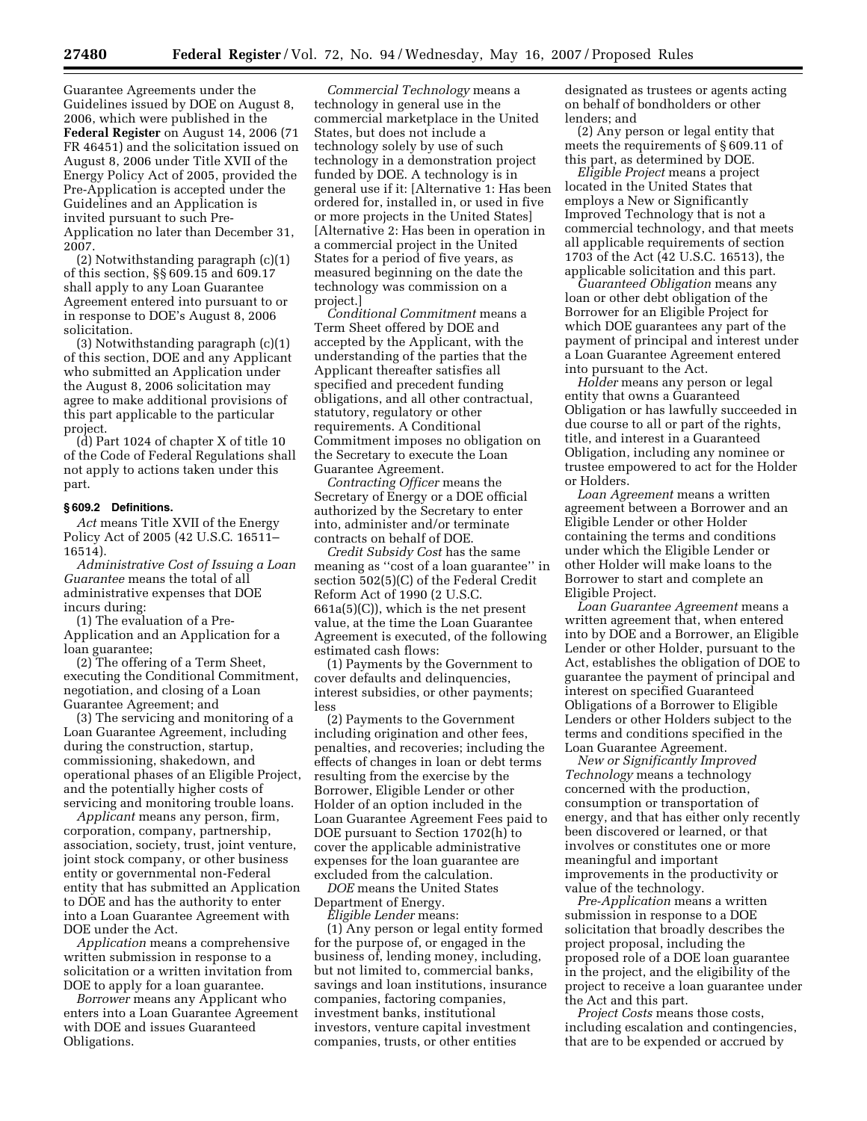Guarantee Agreements under the Guidelines issued by DOE on August 8, 2006, which were published in the **Federal Register** on August 14, 2006 (71 FR 46451) and the solicitation issued on August 8, 2006 under Title XVII of the Energy Policy Act of 2005, provided the Pre-Application is accepted under the Guidelines and an Application is invited pursuant to such Pre-Application no later than December 31, 2007.

(2) Notwithstanding paragraph (c)(1) of this section, §§ 609.15 and 609.17 shall apply to any Loan Guarantee Agreement entered into pursuant to or in response to DOE's August 8, 2006 solicitation.

(3) Notwithstanding paragraph (c)(1) of this section, DOE and any Applicant who submitted an Application under the August 8, 2006 solicitation may agree to make additional provisions of this part applicable to the particular project.

(d) Part 1024 of chapter X of title 10 of the Code of Federal Regulations shall not apply to actions taken under this part.

# **§ 609.2 Definitions.**

*Act* means Title XVII of the Energy Policy Act of 2005 (42 U.S.C. 16511– 16514).

*Administrative Cost of Issuing a Loan Guarantee* means the total of all administrative expenses that DOE incurs during:

(1) The evaluation of a Pre-Application and an Application for a loan guarantee;

(2) The offering of a Term Sheet, executing the Conditional Commitment, negotiation, and closing of a Loan Guarantee Agreement; and

(3) The servicing and monitoring of a Loan Guarantee Agreement, including during the construction, startup, commissioning, shakedown, and operational phases of an Eligible Project, and the potentially higher costs of servicing and monitoring trouble loans.

*Applicant* means any person, firm, corporation, company, partnership, association, society, trust, joint venture, joint stock company, or other business entity or governmental non-Federal entity that has submitted an Application to DOE and has the authority to enter into a Loan Guarantee Agreement with DOE under the Act.

*Application* means a comprehensive written submission in response to a solicitation or a written invitation from DOE to apply for a loan guarantee.

*Borrower* means any Applicant who enters into a Loan Guarantee Agreement with DOE and issues Guaranteed Obligations.

*Commercial Technology* means a technology in general use in the commercial marketplace in the United States, but does not include a technology solely by use of such technology in a demonstration project funded by DOE. A technology is in general use if it: [Alternative 1: Has been ordered for, installed in, or used in five or more projects in the United States] [Alternative 2: Has been in operation in a commercial project in the United States for a period of five years, as measured beginning on the date the technology was commission on a project.]

*Conditional Commitment* means a Term Sheet offered by DOE and accepted by the Applicant, with the understanding of the parties that the Applicant thereafter satisfies all specified and precedent funding obligations, and all other contractual, statutory, regulatory or other requirements. A Conditional Commitment imposes no obligation on the Secretary to execute the Loan Guarantee Agreement.

*Contracting Officer* means the Secretary of Energy or a DOE official authorized by the Secretary to enter into, administer and/or terminate contracts on behalf of DOE.

*Credit Subsidy Cost* has the same meaning as ''cost of a loan guarantee'' in section 502(5)(C) of the Federal Credit Reform Act of 1990 (2 U.S.C. 661a(5)(C)), which is the net present value, at the time the Loan Guarantee Agreement is executed, of the following estimated cash flows:

(1) Payments by the Government to cover defaults and delinquencies, interest subsidies, or other payments; less

(2) Payments to the Government including origination and other fees, penalties, and recoveries; including the effects of changes in loan or debt terms resulting from the exercise by the Borrower, Eligible Lender or other Holder of an option included in the Loan Guarantee Agreement Fees paid to DOE pursuant to Section 1702(h) to cover the applicable administrative expenses for the loan guarantee are excluded from the calculation.

*DOE* means the United States Department of Energy.

*Eligible Lender* means:

(1) Any person or legal entity formed for the purpose of, or engaged in the business of, lending money, including, but not limited to, commercial banks, savings and loan institutions, insurance companies, factoring companies, investment banks, institutional investors, venture capital investment companies, trusts, or other entities

designated as trustees or agents acting on behalf of bondholders or other lenders; and

(2) Any person or legal entity that meets the requirements of § 609.11 of this part, as determined by DOE.

*Eligible Project* means a project located in the United States that employs a New or Significantly Improved Technology that is not a commercial technology, and that meets all applicable requirements of section 1703 of the Act (42 U.S.C. 16513), the applicable solicitation and this part.

*Guaranteed Obligation* means any loan or other debt obligation of the Borrower for an Eligible Project for which DOE guarantees any part of the payment of principal and interest under a Loan Guarantee Agreement entered into pursuant to the Act.

*Holder* means any person or legal entity that owns a Guaranteed Obligation or has lawfully succeeded in due course to all or part of the rights, title, and interest in a Guaranteed Obligation, including any nominee or trustee empowered to act for the Holder or Holders.

*Loan Agreement* means a written agreement between a Borrower and an Eligible Lender or other Holder containing the terms and conditions under which the Eligible Lender or other Holder will make loans to the Borrower to start and complete an Eligible Project.

*Loan Guarantee Agreement* means a written agreement that, when entered into by DOE and a Borrower, an Eligible Lender or other Holder, pursuant to the Act, establishes the obligation of DOE to guarantee the payment of principal and interest on specified Guaranteed Obligations of a Borrower to Eligible Lenders or other Holders subject to the terms and conditions specified in the Loan Guarantee Agreement.

*New or Significantly Improved Technology* means a technology concerned with the production, consumption or transportation of energy, and that has either only recently been discovered or learned, or that involves or constitutes one or more meaningful and important improvements in the productivity or value of the technology.

*Pre-Application* means a written submission in response to a DOE solicitation that broadly describes the project proposal, including the proposed role of a DOE loan guarantee in the project, and the eligibility of the project to receive a loan guarantee under the Act and this part.

*Project Costs* means those costs, including escalation and contingencies, that are to be expended or accrued by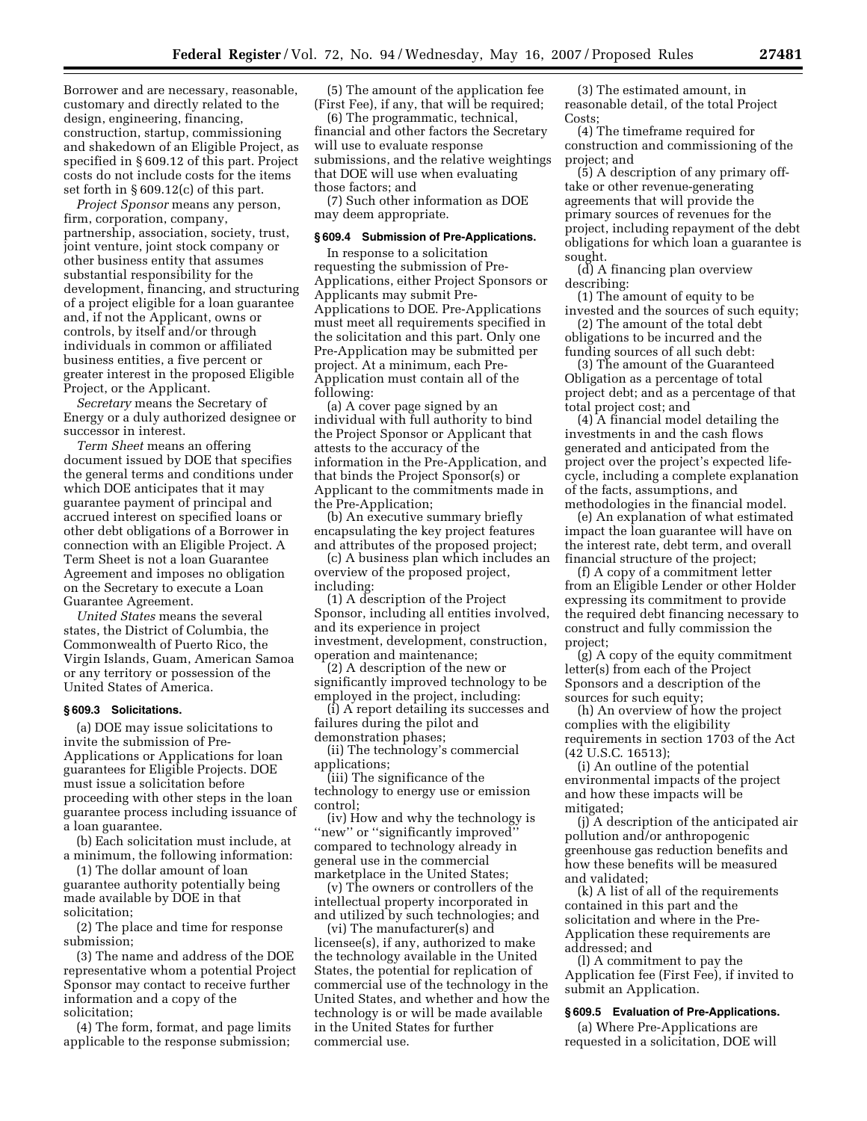Borrower and are necessary, reasonable, customary and directly related to the design, engineering, financing, construction, startup, commissioning and shakedown of an Eligible Project, as specified in § 609.12 of this part. Project costs do not include costs for the items set forth in § 609.12(c) of this part.

*Project Sponsor* means any person, firm, corporation, company, partnership, association, society, trust, joint venture, joint stock company or other business entity that assumes substantial responsibility for the development, financing, and structuring of a project eligible for a loan guarantee and, if not the Applicant, owns or controls, by itself and/or through individuals in common or affiliated business entities, a five percent or greater interest in the proposed Eligible Project, or the Applicant.

*Secretary* means the Secretary of Energy or a duly authorized designee or successor in interest.

*Term Sheet* means an offering document issued by DOE that specifies the general terms and conditions under which DOE anticipates that it may guarantee payment of principal and accrued interest on specified loans or other debt obligations of a Borrower in connection with an Eligible Project. A Term Sheet is not a loan Guarantee Agreement and imposes no obligation on the Secretary to execute a Loan Guarantee Agreement.

*United States* means the several states, the District of Columbia, the Commonwealth of Puerto Rico, the Virgin Islands, Guam, American Samoa or any territory or possession of the United States of America.

### **§ 609.3 Solicitations.**

(a) DOE may issue solicitations to invite the submission of Pre-Applications or Applications for loan guarantees for Eligible Projects. DOE must issue a solicitation before proceeding with other steps in the loan guarantee process including issuance of a loan guarantee.

(b) Each solicitation must include, at a minimum, the following information:

(1) The dollar amount of loan guarantee authority potentially being made available by DOE in that solicitation;

(2) The place and time for response submission;

(3) The name and address of the DOE representative whom a potential Project Sponsor may contact to receive further information and a copy of the solicitation;

(4) The form, format, and page limits applicable to the response submission;

(5) The amount of the application fee (First Fee), if any, that will be required;

(6) The programmatic, technical, financial and other factors the Secretary will use to evaluate response submissions, and the relative weightings that DOE will use when evaluating those factors; and

(7) Such other information as DOE may deem appropriate.

#### **§ 609.4 Submission of Pre-Applications.**

In response to a solicitation requesting the submission of Pre-Applications, either Project Sponsors or Applicants may submit Pre-Applications to DOE. Pre-Applications must meet all requirements specified in the solicitation and this part. Only one Pre-Application may be submitted per project. At a minimum, each Pre-Application must contain all of the following:

(a) A cover page signed by an individual with full authority to bind the Project Sponsor or Applicant that attests to the accuracy of the information in the Pre-Application, and that binds the Project Sponsor(s) or Applicant to the commitments made in the Pre-Application;

(b) An executive summary briefly encapsulating the key project features and attributes of the proposed project;

(c) A business plan which includes an overview of the proposed project, including:

(1) A description of the Project Sponsor, including all entities involved, and its experience in project investment, development, construction, operation and maintenance;

(2) A description of the new or significantly improved technology to be employed in the project, including:

(i) A report detailing its successes and failures during the pilot and demonstration phases;

(ii) The technology's commercial applications;

(iii) The significance of the technology to energy use or emission control;

(iv) How and why the technology is "new" or "significantly improved" compared to technology already in general use in the commercial marketplace in the United States;

(v) The owners or controllers of the intellectual property incorporated in and utilized by such technologies; and

(vi) The manufacturer(s) and licensee(s), if any, authorized to make the technology available in the United States, the potential for replication of commercial use of the technology in the United States, and whether and how the technology is or will be made available in the United States for further commercial use.

(3) The estimated amount, in reasonable detail, of the total Project Costs;

(4) The timeframe required for construction and commissioning of the project; and

(5) A description of any primary offtake or other revenue-generating agreements that will provide the primary sources of revenues for the project, including repayment of the debt obligations for which loan a guarantee is sought.

(d) A financing plan overview describing:

(1) The amount of equity to be invested and the sources of such equity;

(2) The amount of the total debt obligations to be incurred and the funding sources of all such debt:

(3) The amount of the Guaranteed Obligation as a percentage of total project debt; and as a percentage of that total project cost; and

(4) A financial model detailing the investments in and the cash flows generated and anticipated from the project over the project's expected lifecycle, including a complete explanation of the facts, assumptions, and methodologies in the financial model.

(e) An explanation of what estimated impact the loan guarantee will have on the interest rate, debt term, and overall financial structure of the project;

(f) A copy of a commitment letter from an Eligible Lender or other Holder expressing its commitment to provide the required debt financing necessary to construct and fully commission the project;

(g) A copy of the equity commitment letter(s) from each of the Project Sponsors and a description of the sources for such equity;

(h) An overview of how the project complies with the eligibility requirements in section 1703 of the Act (42 U.S.C. 16513);

(i) An outline of the potential environmental impacts of the project and how these impacts will be mitigated;

(j) A description of the anticipated air pollution and/or anthropogenic greenhouse gas reduction benefits and how these benefits will be measured and validated;

(k) A list of all of the requirements contained in this part and the solicitation and where in the Pre-Application these requirements are addressed; and

(l) A commitment to pay the Application fee (First Fee), if invited to submit an Application.

# **§ 609.5 Evaluation of Pre-Applications.**

(a) Where Pre-Applications are requested in a solicitation, DOE will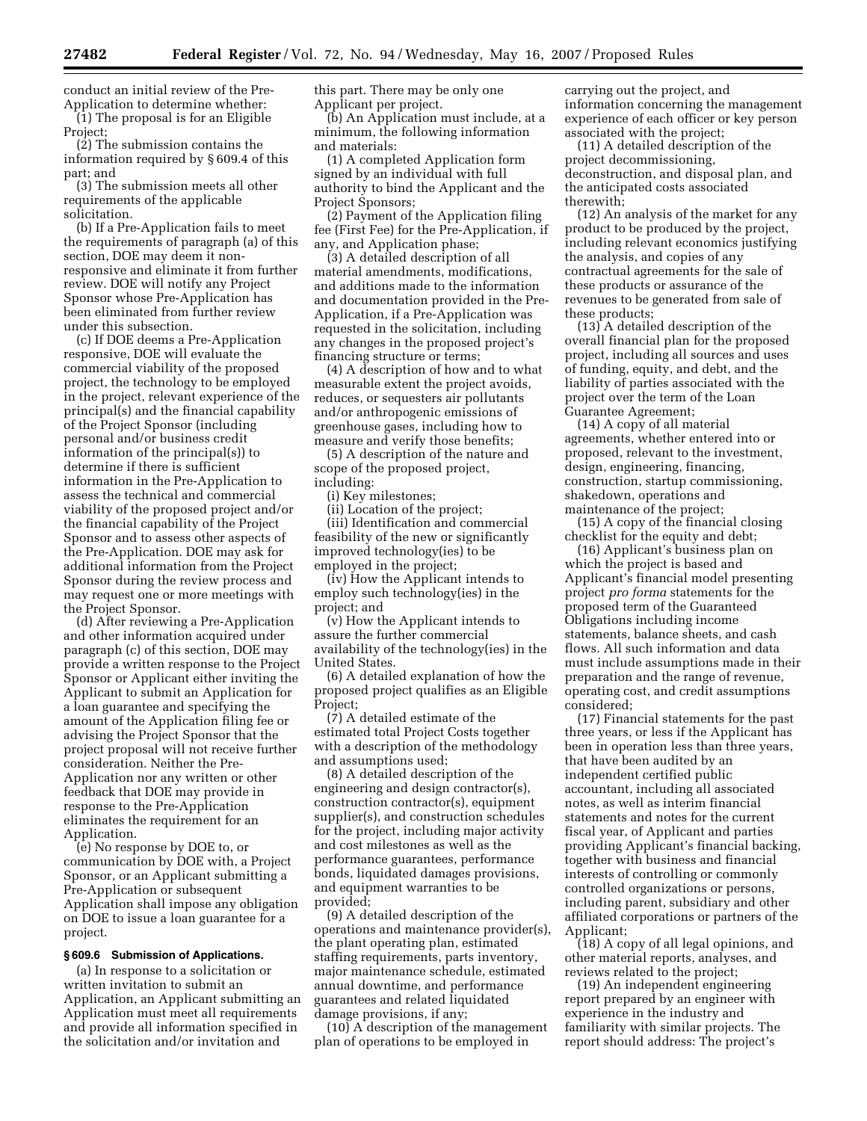conduct an initial review of the Pre-Application to determine whether: (1) The proposal is for an Eligible Project;

(2) The submission contains the information required by § 609.4 of this part; and

(3) The submission meets all other requirements of the applicable solicitation.

(b) If a Pre-Application fails to meet the requirements of paragraph (a) of this section, DOE may deem it nonresponsive and eliminate it from further review. DOE will notify any Project Sponsor whose Pre-Application has been eliminated from further review under this subsection.

(c) If DOE deems a Pre-Application responsive, DOE will evaluate the commercial viability of the proposed project, the technology to be employed in the project, relevant experience of the principal(s) and the financial capability of the Project Sponsor (including personal and/or business credit information of the principal(s)) to determine if there is sufficient information in the Pre-Application to assess the technical and commercial viability of the proposed project and/or the financial capability of the Project Sponsor and to assess other aspects of the Pre-Application. DOE may ask for additional information from the Project Sponsor during the review process and may request one or more meetings with the Project Sponsor.

(d) After reviewing a Pre-Application and other information acquired under paragraph (c) of this section, DOE may provide a written response to the Project Sponsor or Applicant either inviting the Applicant to submit an Application for a loan guarantee and specifying the amount of the Application filing fee or advising the Project Sponsor that the project proposal will not receive further consideration. Neither the Pre-Application nor any written or other feedback that DOE may provide in response to the Pre-Application eliminates the requirement for an Application.

(e) No response by DOE to, or communication by DOE with, a Project Sponsor, or an Applicant submitting a Pre-Application or subsequent Application shall impose any obligation on DOE to issue a loan guarantee for a project.

#### **§ 609.6 Submission of Applications.**

(a) In response to a solicitation or written invitation to submit an Application, an Applicant submitting an Application must meet all requirements and provide all information specified in the solicitation and/or invitation and

this part. There may be only one Applicant per project.

(b) An Application must include, at a minimum, the following information and materials:

(1) A completed Application form signed by an individual with full authority to bind the Applicant and the Project Sponsors;

(2) Payment of the Application filing fee (First Fee) for the Pre-Application, if any, and Application phase;

(3) A detailed description of all material amendments, modifications, and additions made to the information and documentation provided in the Pre-Application, if a Pre-Application was requested in the solicitation, including any changes in the proposed project's financing structure or terms;

(4) A description of how and to what measurable extent the project avoids, reduces, or sequesters air pollutants and/or anthropogenic emissions of greenhouse gases, including how to measure and verify those benefits;

(5) A description of the nature and scope of the proposed project, including:

(i) Key milestones;

(ii) Location of the project;

(iii) Identification and commercial feasibility of the new or significantly improved technology(ies) to be employed in the project;

(iv) How the Applicant intends to employ such technology(ies) in the project; and

(v) How the Applicant intends to assure the further commercial availability of the technology(ies) in the United States.

(6) A detailed explanation of how the proposed project qualifies as an Eligible Project;

(7) A detailed estimate of the estimated total Project Costs together with a description of the methodology and assumptions used;

(8) A detailed description of the engineering and design contractor(s), construction contractor(s), equipment supplier(s), and construction schedules for the project, including major activity and cost milestones as well as the performance guarantees, performance bonds, liquidated damages provisions, and equipment warranties to be provided;

(9) A detailed description of the operations and maintenance provider(s), the plant operating plan, estimated staffing requirements, parts inventory, major maintenance schedule, estimated annual downtime, and performance guarantees and related liquidated damage provisions, if any;

(10) A description of the management plan of operations to be employed in

carrying out the project, and information concerning the management experience of each officer or key person associated with the project;

(11) A detailed description of the project decommissioning, deconstruction, and disposal plan, and the anticipated costs associated therewith;

(12) An analysis of the market for any product to be produced by the project, including relevant economics justifying the analysis, and copies of any contractual agreements for the sale of these products or assurance of the revenues to be generated from sale of these products;

(13) A detailed description of the overall financial plan for the proposed project, including all sources and uses of funding, equity, and debt, and the liability of parties associated with the project over the term of the Loan Guarantee Agreement;

(14) A copy of all material agreements, whether entered into or proposed, relevant to the investment, design, engineering, financing, construction, startup commissioning, shakedown, operations and maintenance of the project;

(15) A copy of the financial closing checklist for the equity and debt;

(16) Applicant's business plan on which the project is based and Applicant's financial model presenting project *pro forma* statements for the proposed term of the Guaranteed Obligations including income statements, balance sheets, and cash flows. All such information and data must include assumptions made in their preparation and the range of revenue, operating cost, and credit assumptions considered;

(17) Financial statements for the past three years, or less if the Applicant has been in operation less than three years, that have been audited by an independent certified public accountant, including all associated notes, as well as interim financial statements and notes for the current fiscal year, of Applicant and parties providing Applicant's financial backing, together with business and financial interests of controlling or commonly controlled organizations or persons, including parent, subsidiary and other affiliated corporations or partners of the Applicant;

(18) A copy of all legal opinions, and other material reports, analyses, and reviews related to the project;

(19) An independent engineering report prepared by an engineer with experience in the industry and familiarity with similar projects. The report should address: The project's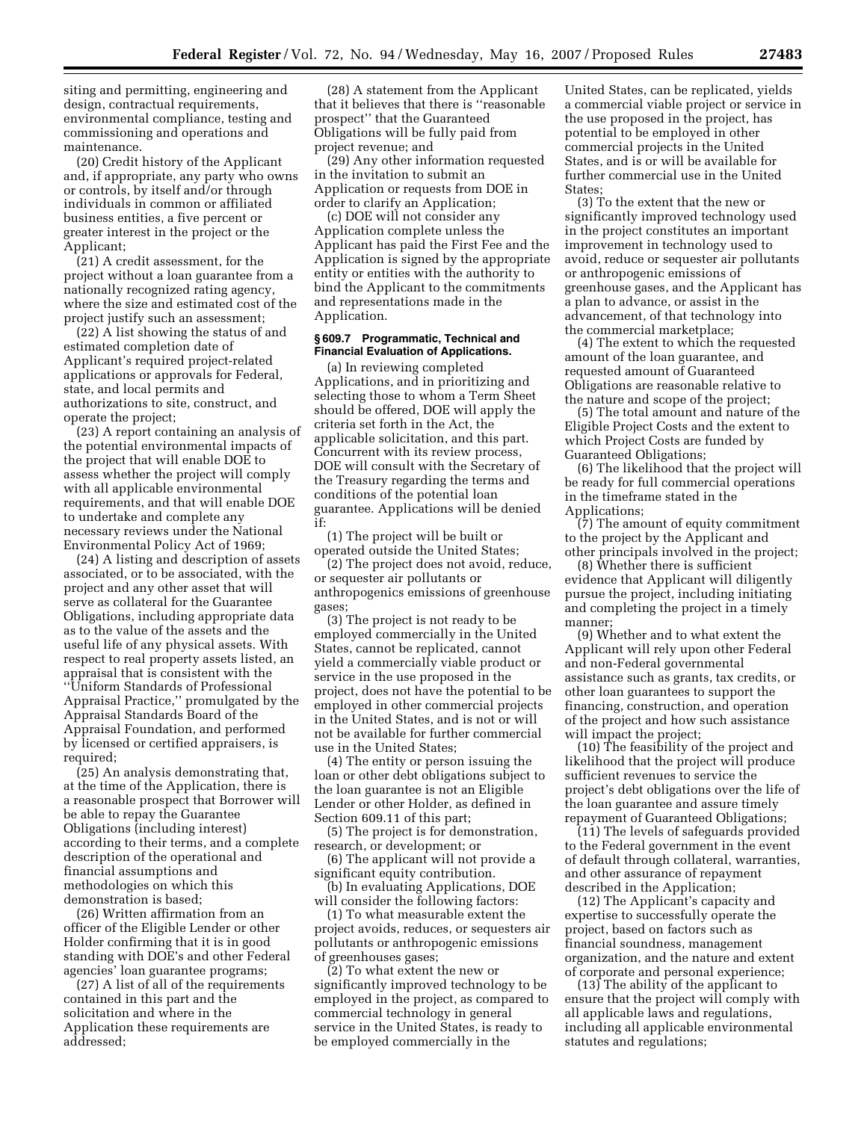siting and permitting, engineering and design, contractual requirements, environmental compliance, testing and commissioning and operations and maintenance.

(20) Credit history of the Applicant and, if appropriate, any party who owns or controls, by itself and/or through individuals in common or affiliated business entities, a five percent or greater interest in the project or the Applicant;

(21) A credit assessment, for the project without a loan guarantee from a nationally recognized rating agency, where the size and estimated cost of the project justify such an assessment;

(22) A list showing the status of and estimated completion date of Applicant's required project-related applications or approvals for Federal, state, and local permits and authorizations to site, construct, and operate the project;

(23) A report containing an analysis of the potential environmental impacts of the project that will enable DOE to assess whether the project will comply with all applicable environmental requirements, and that will enable DOE to undertake and complete any necessary reviews under the National Environmental Policy Act of 1969;

(24) A listing and description of assets associated, or to be associated, with the project and any other asset that will serve as collateral for the Guarantee Obligations, including appropriate data as to the value of the assets and the useful life of any physical assets. With respect to real property assets listed, an appraisal that is consistent with the ''Uniform Standards of Professional Appraisal Practice,'' promulgated by the Appraisal Standards Board of the Appraisal Foundation, and performed by licensed or certified appraisers, is required;

(25) An analysis demonstrating that, at the time of the Application, there is a reasonable prospect that Borrower will be able to repay the Guarantee Obligations (including interest) according to their terms, and a complete description of the operational and financial assumptions and methodologies on which this demonstration is based;

(26) Written affirmation from an officer of the Eligible Lender or other Holder confirming that it is in good standing with DOE's and other Federal agencies' loan guarantee programs;

(27) A list of all of the requirements contained in this part and the solicitation and where in the Application these requirements are addressed;

(28) A statement from the Applicant that it believes that there is ''reasonable prospect'' that the Guaranteed Obligations will be fully paid from project revenue; and

(29) Any other information requested in the invitation to submit an Application or requests from DOE in order to clarify an Application;

(c) DOE will not consider any Application complete unless the Applicant has paid the First Fee and the Application is signed by the appropriate entity or entities with the authority to bind the Applicant to the commitments and representations made in the Application.

### **§ 609.7 Programmatic, Technical and Financial Evaluation of Applications.**

(a) In reviewing completed Applications, and in prioritizing and selecting those to whom a Term Sheet should be offered, DOE will apply the criteria set forth in the Act, the applicable solicitation, and this part. Concurrent with its review process, DOE will consult with the Secretary of the Treasury regarding the terms and conditions of the potential loan guarantee. Applications will be denied if:

(1) The project will be built or operated outside the United States;

(2) The project does not avoid, reduce, or sequester air pollutants or anthropogenics emissions of greenhouse gases;

(3) The project is not ready to be employed commercially in the United States, cannot be replicated, cannot yield a commercially viable product or service in the use proposed in the project, does not have the potential to be employed in other commercial projects in the United States, and is not or will not be available for further commercial use in the United States;

(4) The entity or person issuing the loan or other debt obligations subject to the loan guarantee is not an Eligible Lender or other Holder, as defined in Section 609.11 of this part;

(5) The project is for demonstration, research, or development; or

(6) The applicant will not provide a significant equity contribution.

(b) In evaluating Applications, DOE will consider the following factors:

(1) To what measurable extent the project avoids, reduces, or sequesters air pollutants or anthropogenic emissions of greenhouses gases;

(2) To what extent the new or significantly improved technology to be employed in the project, as compared to commercial technology in general service in the United States, is ready to be employed commercially in the

United States, can be replicated, yields a commercial viable project or service in the use proposed in the project, has potential to be employed in other commercial projects in the United States, and is or will be available for further commercial use in the United States;

(3) To the extent that the new or significantly improved technology used in the project constitutes an important improvement in technology used to avoid, reduce or sequester air pollutants or anthropogenic emissions of greenhouse gases, and the Applicant has a plan to advance, or assist in the advancement, of that technology into the commercial marketplace;

(4) The extent to which the requested amount of the loan guarantee, and requested amount of Guaranteed Obligations are reasonable relative to the nature and scope of the project;

(5) The total amount and nature of the Eligible Project Costs and the extent to which Project Costs are funded by Guaranteed Obligations;

(6) The likelihood that the project will be ready for full commercial operations in the timeframe stated in the Applications;

(7) The amount of equity commitment to the project by the Applicant and other principals involved in the project;

(8) Whether there is sufficient evidence that Applicant will diligently pursue the project, including initiating and completing the project in a timely manner;

(9) Whether and to what extent the Applicant will rely upon other Federal and non-Federal governmental assistance such as grants, tax credits, or other loan guarantees to support the financing, construction, and operation of the project and how such assistance will impact the project;

(10) The feasibility of the project and likelihood that the project will produce sufficient revenues to service the project's debt obligations over the life of the loan guarantee and assure timely repayment of Guaranteed Obligations;

(11) The levels of safeguards provided to the Federal government in the event of default through collateral, warranties, and other assurance of repayment described in the Application;

(12) The Applicant's capacity and expertise to successfully operate the project, based on factors such as financial soundness, management organization, and the nature and extent of corporate and personal experience;

(13) The ability of the applicant to ensure that the project will comply with all applicable laws and regulations, including all applicable environmental statutes and regulations;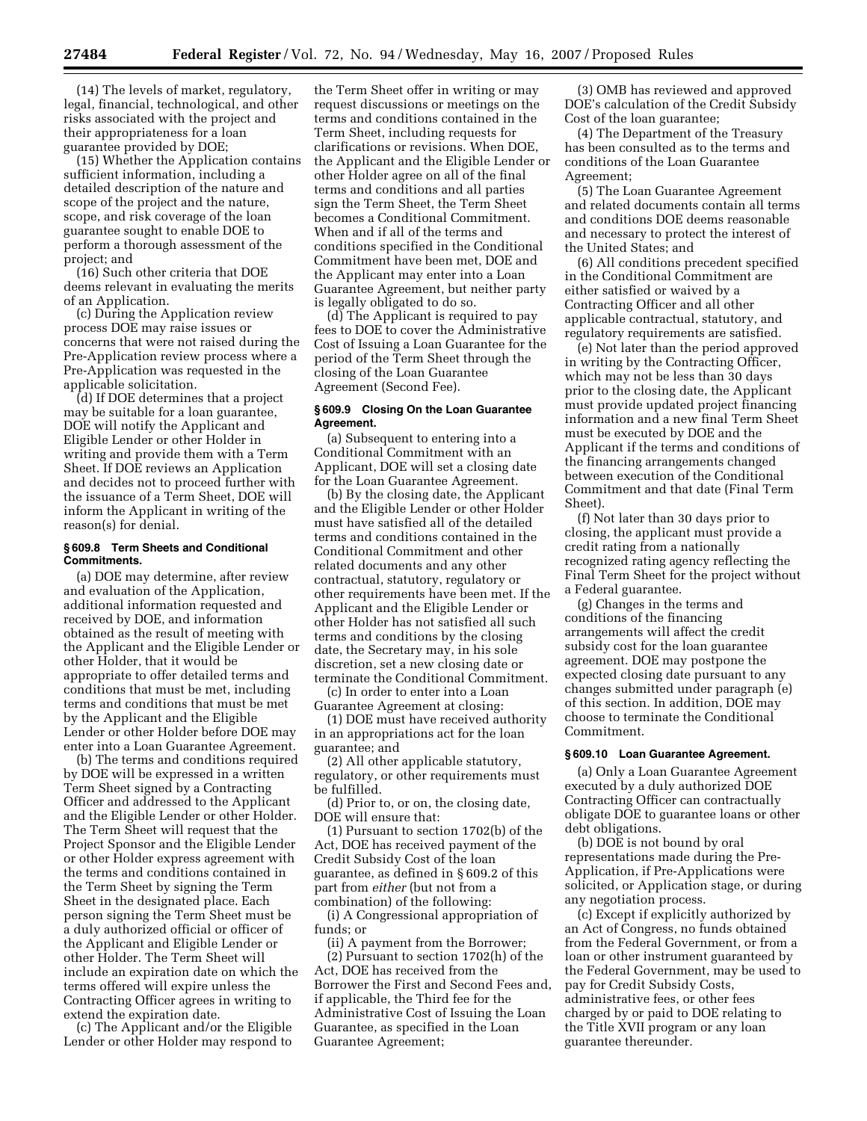(14) The levels of market, regulatory, legal, financial, technological, and other risks associated with the project and their appropriateness for a loan guarantee provided by DOE;

(15) Whether the Application contains sufficient information, including a detailed description of the nature and scope of the project and the nature, scope, and risk coverage of the loan guarantee sought to enable DOE to perform a thorough assessment of the project; and

(16) Such other criteria that DOE deems relevant in evaluating the merits of an Application.

(c) During the Application review process DOE may raise issues or concerns that were not raised during the Pre-Application review process where a Pre-Application was requested in the applicable solicitation.

(d) If DOE determines that a project may be suitable for a loan guarantee, DOE will notify the Applicant and Eligible Lender or other Holder in writing and provide them with a Term Sheet. If DOE reviews an Application and decides not to proceed further with the issuance of a Term Sheet, DOE will inform the Applicant in writing of the reason(s) for denial.

#### **§ 609.8 Term Sheets and Conditional Commitments.**

(a) DOE may determine, after review and evaluation of the Application, additional information requested and received by DOE, and information obtained as the result of meeting with the Applicant and the Eligible Lender or other Holder, that it would be appropriate to offer detailed terms and conditions that must be met, including terms and conditions that must be met by the Applicant and the Eligible Lender or other Holder before DOE may enter into a Loan Guarantee Agreement.

(b) The terms and conditions required by DOE will be expressed in a written Term Sheet signed by a Contracting Officer and addressed to the Applicant and the Eligible Lender or other Holder. The Term Sheet will request that the Project Sponsor and the Eligible Lender or other Holder express agreement with the terms and conditions contained in the Term Sheet by signing the Term Sheet in the designated place. Each person signing the Term Sheet must be a duly authorized official or officer of the Applicant and Eligible Lender or other Holder. The Term Sheet will include an expiration date on which the terms offered will expire unless the Contracting Officer agrees in writing to extend the expiration date.

(c) The Applicant and/or the Eligible Lender or other Holder may respond to

the Term Sheet offer in writing or may request discussions or meetings on the terms and conditions contained in the Term Sheet, including requests for clarifications or revisions. When DOE, the Applicant and the Eligible Lender or other Holder agree on all of the final terms and conditions and all parties sign the Term Sheet, the Term Sheet becomes a Conditional Commitment. When and if all of the terms and conditions specified in the Conditional Commitment have been met, DOE and the Applicant may enter into a Loan Guarantee Agreement, but neither party is legally obligated to do so.

(d) The Applicant is required to pay fees to DOE to cover the Administrative Cost of Issuing a Loan Guarantee for the period of the Term Sheet through the closing of the Loan Guarantee Agreement (Second Fee).

# **§ 609.9 Closing On the Loan Guarantee Agreement.**

(a) Subsequent to entering into a Conditional Commitment with an Applicant, DOE will set a closing date for the Loan Guarantee Agreement.

(b) By the closing date, the Applicant and the Eligible Lender or other Holder must have satisfied all of the detailed terms and conditions contained in the Conditional Commitment and other related documents and any other contractual, statutory, regulatory or other requirements have been met. If the Applicant and the Eligible Lender or other Holder has not satisfied all such terms and conditions by the closing date, the Secretary may, in his sole discretion, set a new closing date or terminate the Conditional Commitment.

(c) In order to enter into a Loan Guarantee Agreement at closing:

(1) DOE must have received authority in an appropriations act for the loan guarantee; and

(2) All other applicable statutory, regulatory, or other requirements must be fulfilled.

(d) Prior to, or on, the closing date, DOE will ensure that:

(1) Pursuant to section 1702(b) of the Act, DOE has received payment of the Credit Subsidy Cost of the loan guarantee, as defined in § 609.2 of this part from *either* (but not from a combination) of the following:

(i) A Congressional appropriation of funds; or

(ii) A payment from the Borrower; (2) Pursuant to section 1702(h) of the Act, DOE has received from the Borrower the First and Second Fees and, if applicable, the Third fee for the Administrative Cost of Issuing the Loan Guarantee, as specified in the Loan Guarantee Agreement;

(3) OMB has reviewed and approved DOE's calculation of the Credit Subsidy Cost of the loan guarantee;

(4) The Department of the Treasury has been consulted as to the terms and conditions of the Loan Guarantee Agreement;

(5) The Loan Guarantee Agreement and related documents contain all terms and conditions DOE deems reasonable and necessary to protect the interest of the United States; and

(6) All conditions precedent specified in the Conditional Commitment are either satisfied or waived by a Contracting Officer and all other applicable contractual, statutory, and regulatory requirements are satisfied.

(e) Not later than the period approved in writing by the Contracting Officer, which may not be less than 30 days prior to the closing date, the Applicant must provide updated project financing information and a new final Term Sheet must be executed by DOE and the Applicant if the terms and conditions of the financing arrangements changed between execution of the Conditional Commitment and that date (Final Term Sheet).

(f) Not later than 30 days prior to closing, the applicant must provide a credit rating from a nationally recognized rating agency reflecting the Final Term Sheet for the project without a Federal guarantee.

(g) Changes in the terms and conditions of the financing arrangements will affect the credit subsidy cost for the loan guarantee agreement. DOE may postpone the expected closing date pursuant to any changes submitted under paragraph (e) of this section. In addition, DOE may choose to terminate the Conditional Commitment.

#### **§ 609.10 Loan Guarantee Agreement.**

(a) Only a Loan Guarantee Agreement executed by a duly authorized DOE Contracting Officer can contractually obligate DOE to guarantee loans or other debt obligations.

(b) DOE is not bound by oral representations made during the Pre-Application, if Pre-Applications were solicited, or Application stage, or during any negotiation process.

(c) Except if explicitly authorized by an Act of Congress, no funds obtained from the Federal Government, or from a loan or other instrument guaranteed by the Federal Government, may be used to pay for Credit Subsidy Costs, administrative fees, or other fees charged by or paid to DOE relating to the Title XVII program or any loan guarantee thereunder.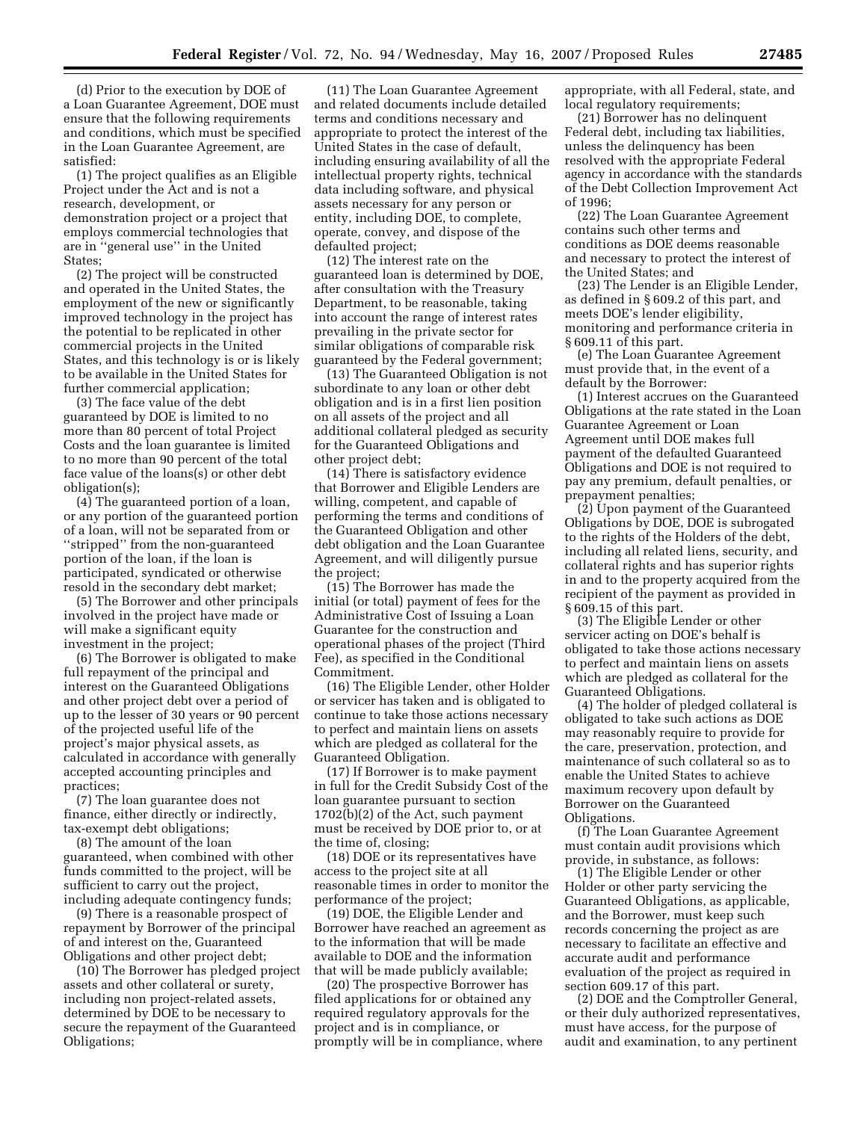(d) Prior to the execution by DOE of a Loan Guarantee Agreement, DOE must ensure that the following requirements and conditions, which must be specified in the Loan Guarantee Agreement, are satisfied:

(1) The project qualifies as an Eligible Project under the Act and is not a research, development, or demonstration project or a project that employs commercial technologies that are in ''general use'' in the United States;

(2) The project will be constructed and operated in the United States, the employment of the new or significantly improved technology in the project has the potential to be replicated in other commercial projects in the United States, and this technology is or is likely to be available in the United States for further commercial application;

(3) The face value of the debt guaranteed by DOE is limited to no more than 80 percent of total Project Costs and the loan guarantee is limited to no more than 90 percent of the total face value of the loans(s) or other debt obligation(s);

(4) The guaranteed portion of a loan, or any portion of the guaranteed portion of a loan, will not be separated from or ''stripped'' from the non-guaranteed portion of the loan, if the loan is participated, syndicated or otherwise resold in the secondary debt market;

(5) The Borrower and other principals involved in the project have made or will make a significant equity investment in the project;

(6) The Borrower is obligated to make full repayment of the principal and interest on the Guaranteed Obligations and other project debt over a period of up to the lesser of 30 years or 90 percent of the projected useful life of the project's major physical assets, as calculated in accordance with generally accepted accounting principles and practices;

(7) The loan guarantee does not finance, either directly or indirectly, tax-exempt debt obligations;

(8) The amount of the loan guaranteed, when combined with other funds committed to the project, will be sufficient to carry out the project, including adequate contingency funds;

(9) There is a reasonable prospect of repayment by Borrower of the principal of and interest on the, Guaranteed Obligations and other project debt;

(10) The Borrower has pledged project assets and other collateral or surety, including non project-related assets, determined by DOE to be necessary to secure the repayment of the Guaranteed Obligations;

(11) The Loan Guarantee Agreement and related documents include detailed terms and conditions necessary and appropriate to protect the interest of the United States in the case of default, including ensuring availability of all the intellectual property rights, technical data including software, and physical assets necessary for any person or entity, including DOE, to complete, operate, convey, and dispose of the defaulted project;

(12) The interest rate on the guaranteed loan is determined by DOE, after consultation with the Treasury Department, to be reasonable, taking into account the range of interest rates prevailing in the private sector for similar obligations of comparable risk guaranteed by the Federal government;

(13) The Guaranteed Obligation is not subordinate to any loan or other debt obligation and is in a first lien position on all assets of the project and all additional collateral pledged as security for the Guaranteed Obligations and other project debt;

(14) There is satisfactory evidence that Borrower and Eligible Lenders are willing, competent, and capable of performing the terms and conditions of the Guaranteed Obligation and other debt obligation and the Loan Guarantee Agreement, and will diligently pursue the project;

(15) The Borrower has made the initial (or total) payment of fees for the Administrative Cost of Issuing a Loan Guarantee for the construction and operational phases of the project (Third Fee), as specified in the Conditional Commitment.

(16) The Eligible Lender, other Holder or servicer has taken and is obligated to continue to take those actions necessary to perfect and maintain liens on assets which are pledged as collateral for the Guaranteed Obligation.

(17) If Borrower is to make payment in full for the Credit Subsidy Cost of the loan guarantee pursuant to section 1702(b)(2) of the Act, such payment must be received by DOE prior to, or at the time of, closing;

(18) DOE or its representatives have access to the project site at all reasonable times in order to monitor the performance of the project;

(19) DOE, the Eligible Lender and Borrower have reached an agreement as to the information that will be made available to DOE and the information that will be made publicly available;

(20) The prospective Borrower has filed applications for or obtained any required regulatory approvals for the project and is in compliance, or promptly will be in compliance, where appropriate, with all Federal, state, and local regulatory requirements;

(21) Borrower has no delinquent Federal debt, including tax liabilities, unless the delinquency has been resolved with the appropriate Federal agency in accordance with the standards of the Debt Collection Improvement Act of 1996;

(22) The Loan Guarantee Agreement contains such other terms and conditions as DOE deems reasonable and necessary to protect the interest of the United States; and

(23) The Lender is an Eligible Lender, as defined in § 609.2 of this part, and meets DOE's lender eligibility, monitoring and performance criteria in § 609.11 of this part.

(e) The Loan Guarantee Agreement must provide that, in the event of a default by the Borrower:

(1) Interest accrues on the Guaranteed Obligations at the rate stated in the Loan Guarantee Agreement or Loan Agreement until DOE makes full payment of the defaulted Guaranteed Obligations and DOE is not required to pay any premium, default penalties, or prepayment penalties;

(2) Upon payment of the Guaranteed Obligations by DOE, DOE is subrogated to the rights of the Holders of the debt, including all related liens, security, and collateral rights and has superior rights in and to the property acquired from the recipient of the payment as provided in § 609.15 of this part.

(3) The Eligible Lender or other servicer acting on DOE's behalf is obligated to take those actions necessary to perfect and maintain liens on assets which are pledged as collateral for the Guaranteed Obligations.

(4) The holder of pledged collateral is obligated to take such actions as DOE may reasonably require to provide for the care, preservation, protection, and maintenance of such collateral so as to enable the United States to achieve maximum recovery upon default by Borrower on the Guaranteed Obligations.

(f) The Loan Guarantee Agreement must contain audit provisions which provide, in substance, as follows:

(1) The Eligible Lender or other Holder or other party servicing the Guaranteed Obligations, as applicable, and the Borrower, must keep such records concerning the project as are necessary to facilitate an effective and accurate audit and performance evaluation of the project as required in section 609.17 of this part.

(2) DOE and the Comptroller General, or their duly authorized representatives, must have access, for the purpose of audit and examination, to any pertinent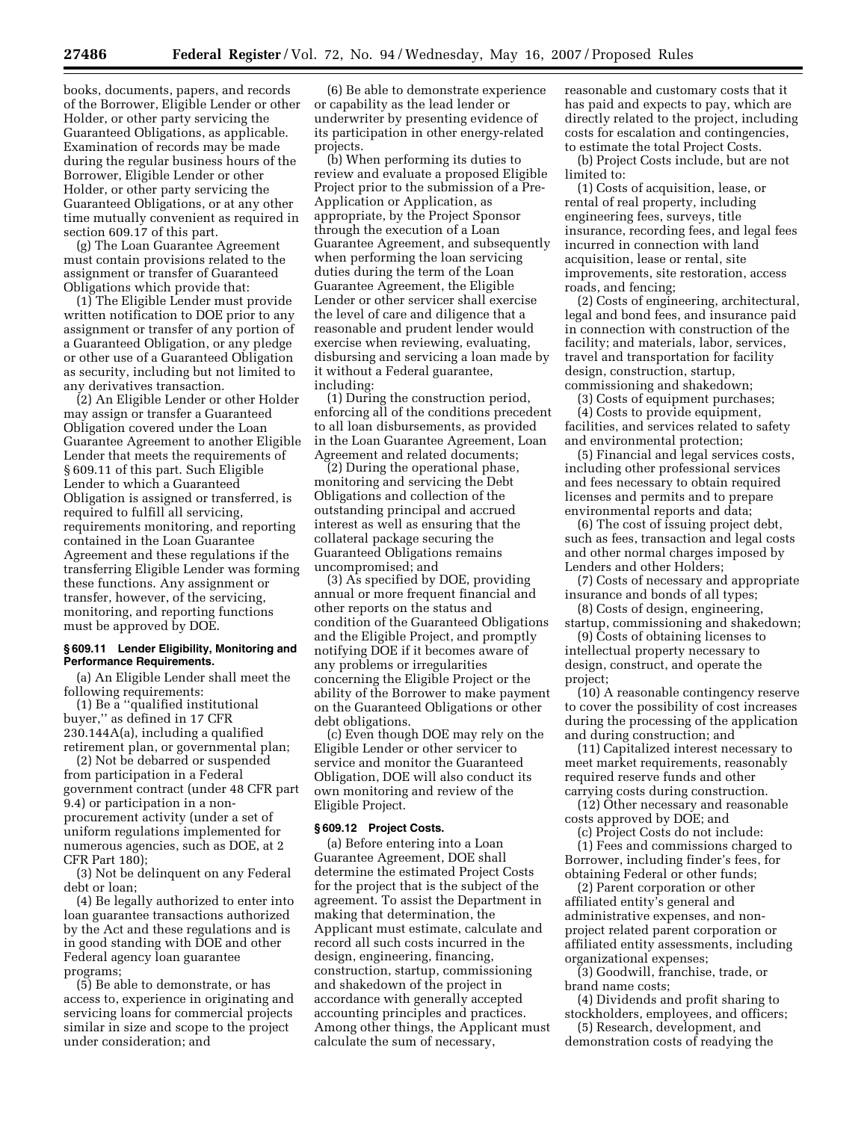books, documents, papers, and records of the Borrower, Eligible Lender or other Holder, or other party servicing the Guaranteed Obligations, as applicable. Examination of records may be made during the regular business hours of the Borrower, Eligible Lender or other Holder, or other party servicing the Guaranteed Obligations, or at any other time mutually convenient as required in section 609.17 of this part.

(g) The Loan Guarantee Agreement must contain provisions related to the assignment or transfer of Guaranteed Obligations which provide that:

(1) The Eligible Lender must provide written notification to DOE prior to any assignment or transfer of any portion of a Guaranteed Obligation, or any pledge or other use of a Guaranteed Obligation as security, including but not limited to any derivatives transaction.

(2) An Eligible Lender or other Holder may assign or transfer a Guaranteed Obligation covered under the Loan Guarantee Agreement to another Eligible Lender that meets the requirements of § 609.11 of this part. Such Eligible Lender to which a Guaranteed Obligation is assigned or transferred, is required to fulfill all servicing, requirements monitoring, and reporting contained in the Loan Guarantee Agreement and these regulations if the transferring Eligible Lender was forming these functions. Any assignment or transfer, however, of the servicing, monitoring, and reporting functions must be approved by DOE.

#### **§ 609.11 Lender Eligibility, Monitoring and Performance Requirements.**

(a) An Eligible Lender shall meet the following requirements:

(1) Be a ''qualified institutional buyer,'' as defined in 17 CFR 230.144A(a), including a qualified retirement plan, or governmental plan;

(2) Not be debarred or suspended from participation in a Federal government contract (under 48 CFR part 9.4) or participation in a nonprocurement activity (under a set of uniform regulations implemented for numerous agencies, such as DOE, at 2 CFR Part 180);

(3) Not be delinquent on any Federal debt or loan;

(4) Be legally authorized to enter into loan guarantee transactions authorized by the Act and these regulations and is in good standing with DOE and other Federal agency loan guarantee programs;

(5) Be able to demonstrate, or has access to, experience in originating and servicing loans for commercial projects similar in size and scope to the project under consideration; and

(6) Be able to demonstrate experience or capability as the lead lender or underwriter by presenting evidence of its participation in other energy-related projects.

(b) When performing its duties to review and evaluate a proposed Eligible Project prior to the submission of a Pre-Application or Application, as appropriate, by the Project Sponsor through the execution of a Loan Guarantee Agreement, and subsequently when performing the loan servicing duties during the term of the Loan Guarantee Agreement, the Eligible Lender or other servicer shall exercise the level of care and diligence that a reasonable and prudent lender would exercise when reviewing, evaluating, disbursing and servicing a loan made by it without a Federal guarantee, including:

(1) During the construction period, enforcing all of the conditions precedent to all loan disbursements, as provided in the Loan Guarantee Agreement, Loan Agreement and related documents;

(2) During the operational phase, monitoring and servicing the Debt Obligations and collection of the outstanding principal and accrued interest as well as ensuring that the collateral package securing the Guaranteed Obligations remains uncompromised; and

(3) As specified by DOE, providing annual or more frequent financial and other reports on the status and condition of the Guaranteed Obligations and the Eligible Project, and promptly notifying DOE if it becomes aware of any problems or irregularities concerning the Eligible Project or the ability of the Borrower to make payment on the Guaranteed Obligations or other debt obligations.

(c) Even though DOE may rely on the Eligible Lender or other servicer to service and monitor the Guaranteed Obligation, DOE will also conduct its own monitoring and review of the Eligible Project.

#### **§ 609.12 Project Costs.**

(a) Before entering into a Loan Guarantee Agreement, DOE shall determine the estimated Project Costs for the project that is the subject of the agreement. To assist the Department in making that determination, the Applicant must estimate, calculate and record all such costs incurred in the design, engineering, financing, construction, startup, commissioning and shakedown of the project in accordance with generally accepted accounting principles and practices. Among other things, the Applicant must calculate the sum of necessary,

reasonable and customary costs that it has paid and expects to pay, which are directly related to the project, including costs for escalation and contingencies, to estimate the total Project Costs.

(b) Project Costs include, but are not limited to:

(1) Costs of acquisition, lease, or rental of real property, including engineering fees, surveys, title insurance, recording fees, and legal fees incurred in connection with land acquisition, lease or rental, site improvements, site restoration, access roads, and fencing;

(2) Costs of engineering, architectural, legal and bond fees, and insurance paid in connection with construction of the facility; and materials, labor, services, travel and transportation for facility design, construction, startup, commissioning and shakedown;

(3) Costs of equipment purchases;

(4) Costs to provide equipment, facilities, and services related to safety and environmental protection;

(5) Financial and legal services costs, including other professional services and fees necessary to obtain required licenses and permits and to prepare environmental reports and data;

(6) The cost of issuing project debt, such as fees, transaction and legal costs and other normal charges imposed by Lenders and other Holders;

(7) Costs of necessary and appropriate insurance and bonds of all types;

(8) Costs of design, engineering, startup, commissioning and shakedown;

(9) Costs of obtaining licenses to intellectual property necessary to design, construct, and operate the project;

(10) A reasonable contingency reserve to cover the possibility of cost increases during the processing of the application and during construction; and

(11) Capitalized interest necessary to meet market requirements, reasonably required reserve funds and other carrying costs during construction.

(12) Other necessary and reasonable costs approved by DOE; and

(c) Project Costs do not include:

(1) Fees and commissions charged to Borrower, including finder's fees, for obtaining Federal or other funds;

(2) Parent corporation or other affiliated entity's general and administrative expenses, and nonproject related parent corporation or affiliated entity assessments, including organizational expenses;

(3) Goodwill, franchise, trade, or brand name costs;

(4) Dividends and profit sharing to stockholders, employees, and officers;

(5) Research, development, and demonstration costs of readying the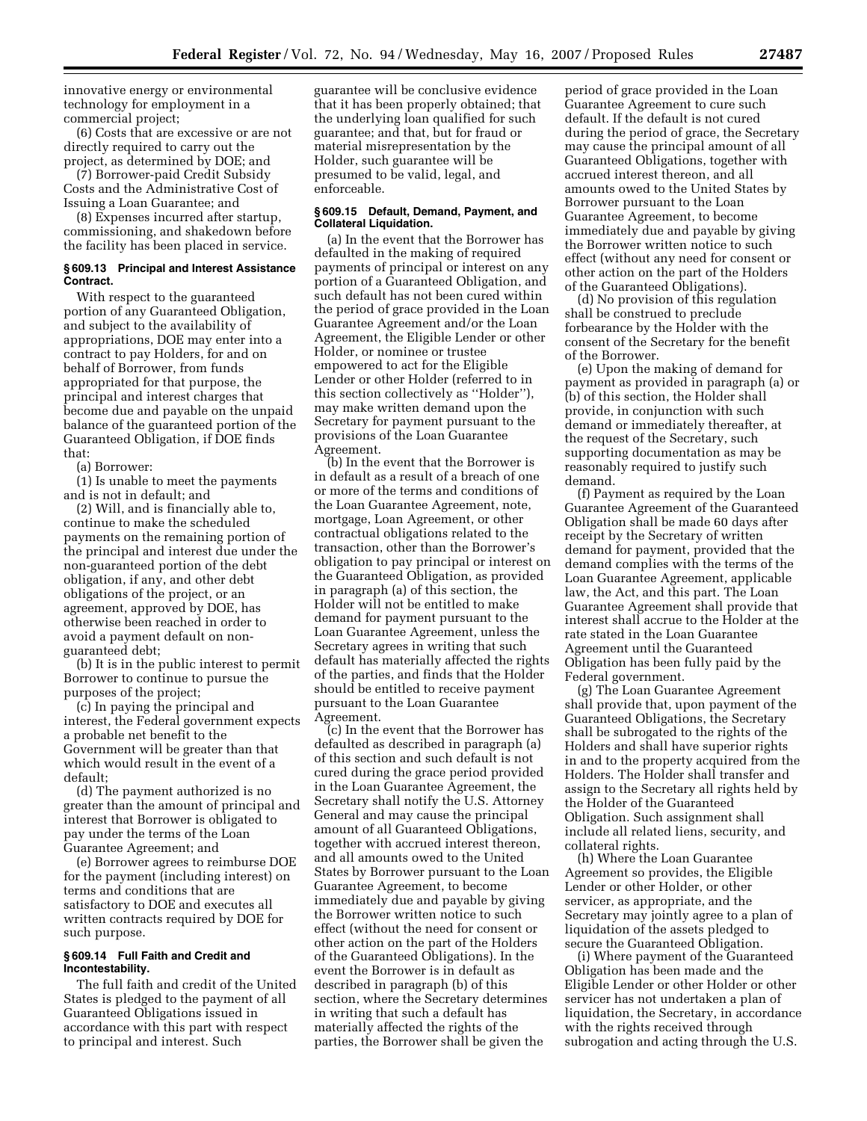innovative energy or environmental technology for employment in a commercial project;

(6) Costs that are excessive or are not directly required to carry out the project, as determined by DOE; and

(7) Borrower-paid Credit Subsidy Costs and the Administrative Cost of Issuing a Loan Guarantee; and

(8) Expenses incurred after startup, commissioning, and shakedown before the facility has been placed in service.

### **§ 609.13 Principal and Interest Assistance Contract.**

With respect to the guaranteed portion of any Guaranteed Obligation, and subject to the availability of appropriations, DOE may enter into a contract to pay Holders, for and on behalf of Borrower, from funds appropriated for that purpose, the principal and interest charges that become due and payable on the unpaid balance of the guaranteed portion of the Guaranteed Obligation, if DOE finds that:

(a) Borrower:

(1) Is unable to meet the payments and is not in default; and

(2) Will, and is financially able to, continue to make the scheduled payments on the remaining portion of the principal and interest due under the non-guaranteed portion of the debt obligation, if any, and other debt obligations of the project, or an agreement, approved by DOE, has otherwise been reached in order to avoid a payment default on nonguaranteed debt;

(b) It is in the public interest to permit Borrower to continue to pursue the purposes of the project;

(c) In paying the principal and interest, the Federal government expects a probable net benefit to the Government will be greater than that which would result in the event of a default;

(d) The payment authorized is no greater than the amount of principal and interest that Borrower is obligated to pay under the terms of the Loan Guarantee Agreement; and

(e) Borrower agrees to reimburse DOE for the payment (including interest) on terms and conditions that are satisfactory to DOE and executes all written contracts required by DOE for such purpose.

### **§ 609.14 Full Faith and Credit and Incontestability.**

The full faith and credit of the United States is pledged to the payment of all Guaranteed Obligations issued in accordance with this part with respect to principal and interest. Such

guarantee will be conclusive evidence that it has been properly obtained; that the underlying loan qualified for such guarantee; and that, but for fraud or material misrepresentation by the Holder, such guarantee will be presumed to be valid, legal, and enforceable.

#### **§ 609.15 Default, Demand, Payment, and Collateral Liquidation.**

(a) In the event that the Borrower has defaulted in the making of required payments of principal or interest on any portion of a Guaranteed Obligation, and such default has not been cured within the period of grace provided in the Loan Guarantee Agreement and/or the Loan Agreement, the Eligible Lender or other Holder, or nominee or trustee empowered to act for the Eligible Lender or other Holder (referred to in this section collectively as ''Holder''), may make written demand upon the Secretary for payment pursuant to the provisions of the Loan Guarantee Agreement.

(b) In the event that the Borrower is in default as a result of a breach of one or more of the terms and conditions of the Loan Guarantee Agreement, note, mortgage, Loan Agreement, or other contractual obligations related to the transaction, other than the Borrower's obligation to pay principal or interest on the Guaranteed Obligation, as provided in paragraph (a) of this section, the Holder will not be entitled to make demand for payment pursuant to the Loan Guarantee Agreement, unless the Secretary agrees in writing that such default has materially affected the rights of the parties, and finds that the Holder should be entitled to receive payment pursuant to the Loan Guarantee Agreement.

(c) In the event that the Borrower has defaulted as described in paragraph (a) of this section and such default is not cured during the grace period provided in the Loan Guarantee Agreement, the Secretary shall notify the U.S. Attorney General and may cause the principal amount of all Guaranteed Obligations, together with accrued interest thereon, and all amounts owed to the United States by Borrower pursuant to the Loan Guarantee Agreement, to become immediately due and payable by giving the Borrower written notice to such effect (without the need for consent or other action on the part of the Holders of the Guaranteed Obligations). In the event the Borrower is in default as described in paragraph (b) of this section, where the Secretary determines in writing that such a default has materially affected the rights of the parties, the Borrower shall be given the

period of grace provided in the Loan Guarantee Agreement to cure such default. If the default is not cured during the period of grace, the Secretary may cause the principal amount of all Guaranteed Obligations, together with accrued interest thereon, and all amounts owed to the United States by Borrower pursuant to the Loan Guarantee Agreement, to become immediately due and payable by giving the Borrower written notice to such effect (without any need for consent or other action on the part of the Holders of the Guaranteed Obligations).

(d) No provision of this regulation shall be construed to preclude forbearance by the Holder with the consent of the Secretary for the benefit of the Borrower.

(e) Upon the making of demand for payment as provided in paragraph (a) or (b) of this section, the Holder shall provide, in conjunction with such demand or immediately thereafter, at the request of the Secretary, such supporting documentation as may be reasonably required to justify such demand.

(f) Payment as required by the Loan Guarantee Agreement of the Guaranteed Obligation shall be made 60 days after receipt by the Secretary of written demand for payment, provided that the demand complies with the terms of the Loan Guarantee Agreement, applicable law, the Act, and this part. The Loan Guarantee Agreement shall provide that interest shall accrue to the Holder at the rate stated in the Loan Guarantee Agreement until the Guaranteed Obligation has been fully paid by the Federal government.

(g) The Loan Guarantee Agreement shall provide that, upon payment of the Guaranteed Obligations, the Secretary shall be subrogated to the rights of the Holders and shall have superior rights in and to the property acquired from the Holders. The Holder shall transfer and assign to the Secretary all rights held by the Holder of the Guaranteed Obligation. Such assignment shall include all related liens, security, and collateral rights.

(h) Where the Loan Guarantee Agreement so provides, the Eligible Lender or other Holder, or other servicer, as appropriate, and the Secretary may jointly agree to a plan of liquidation of the assets pledged to secure the Guaranteed Obligation.

(i) Where payment of the Guaranteed Obligation has been made and the Eligible Lender or other Holder or other servicer has not undertaken a plan of liquidation, the Secretary, in accordance with the rights received through subrogation and acting through the U.S.